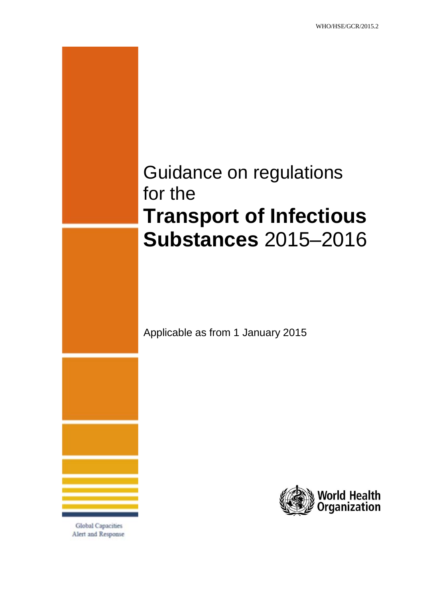# Guidance on regulations for the **Transport of Infectious Substances** 2015–2016

Applicable as from 1 January 2015



**Global Capacities** Alert and Response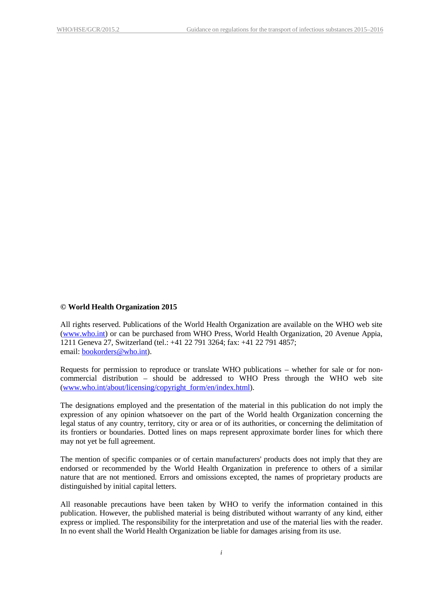#### **© World Health Organization 2015**

All rights reserved. Publications of the World Health Organization are available on the WHO web site [\(www.who.int\)](http://www.who.int/) or can be purchased from WHO Press, World Health Organization, 20 Avenue Appia, 1211 Geneva 27, Switzerland (tel.: +41 22 791 3264; fax: +41 22 791 4857; email: [bookorders@who.int\)](mailto:bookorders@who.int).

Requests for permission to reproduce or translate WHO publications – whether for sale or for noncommercial distribution – should be addressed to WHO Press through the WHO web site [\(www.who.int/about/licensing/copyright\\_form/en/index.html\)](http://www.who.int/about/licensing/copyright_form/en/index.html).

The designations employed and the presentation of the material in this publication do not imply the expression of any opinion whatsoever on the part of the World health Organization concerning the legal status of any country, territory, city or area or of its authorities, or concerning the delimitation of its frontiers or boundaries. Dotted lines on maps represent approximate border lines for which there may not yet be full agreement.

The mention of specific companies or of certain manufacturers' products does not imply that they are endorsed or recommended by the World Health Organization in preference to others of a similar nature that are not mentioned. Errors and omissions excepted, the names of proprietary products are distinguished by initial capital letters.

All reasonable precautions have been taken by WHO to verify the information contained in this publication. However, the published material is being distributed without warranty of any kind, either express or implied. The responsibility for the interpretation and use of the material lies with the reader. In no event shall the World Health Organization be liable for damages arising from its use.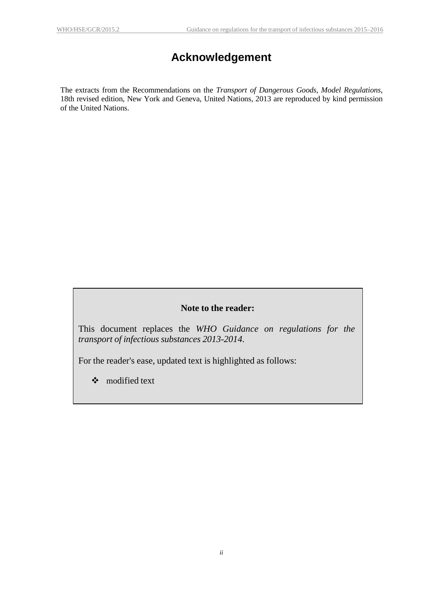# **Acknowledgement**

<span id="page-2-0"></span>The extracts from the Recommendations on the *Transport of Dangerous Goods, Model Regulations*, 18th revised edition, New York and Geneva, United Nations, 2013 are reproduced by kind permission of the United Nations.

### **Note to the reader:**

This document replaces the *WHO Guidance on regulations for the transport of infectious substances 2013-2014*.

For the reader's ease, updated text is highlighted as follows:

modified text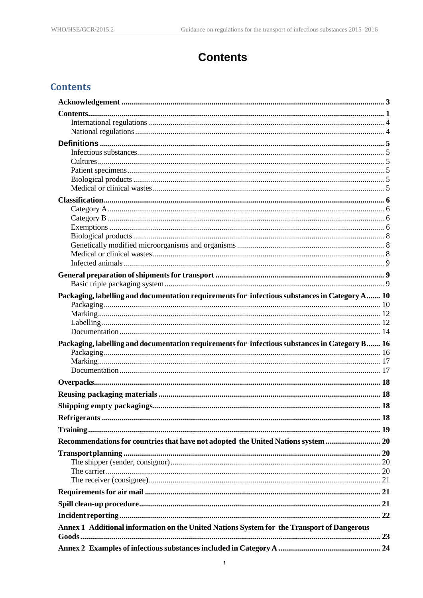### **Contents**

### <span id="page-4-0"></span>**Contents**

| Packaging, labelling and documentation requirements for infectious substances in Category A 10 |  |
|------------------------------------------------------------------------------------------------|--|
|                                                                                                |  |
|                                                                                                |  |
|                                                                                                |  |
|                                                                                                |  |
| Packaging, labelling and documentation requirements for infectious substances in Category B 16 |  |
|                                                                                                |  |
|                                                                                                |  |
|                                                                                                |  |
|                                                                                                |  |
|                                                                                                |  |
|                                                                                                |  |
|                                                                                                |  |
|                                                                                                |  |
| Recommendations for countries that have not adopted the United Nations system  20              |  |
|                                                                                                |  |
|                                                                                                |  |
|                                                                                                |  |
|                                                                                                |  |
|                                                                                                |  |
|                                                                                                |  |
|                                                                                                |  |
| Annex 1 Additional information on the United Nations System for the Transport of Dangerous     |  |
|                                                                                                |  |
|                                                                                                |  |
|                                                                                                |  |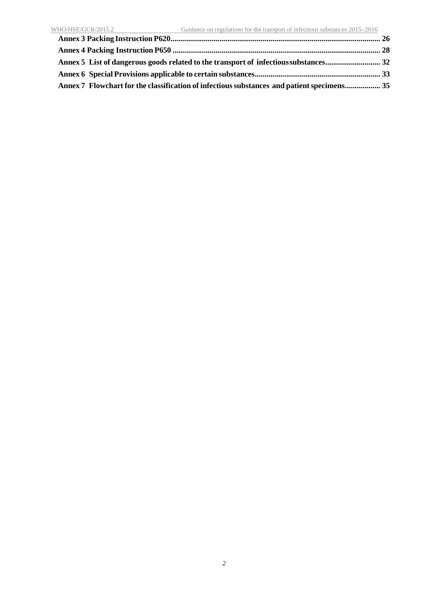**Annex 7 Flowchart for the classification of infectioussubstances and [patientspecimens..................](#page-37-0) 35**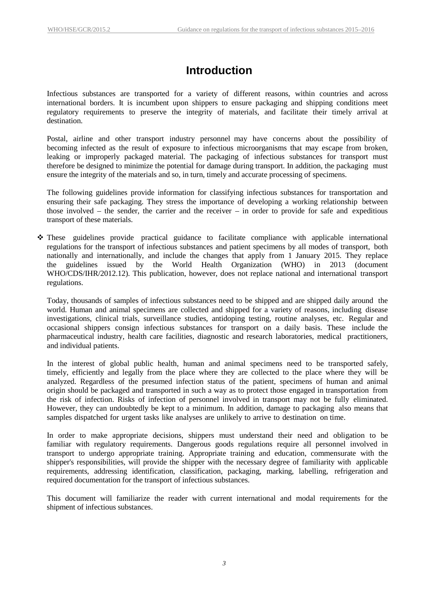### **Introduction**

Infectious substances are transported for a variety of different reasons, within countries and across international borders. It is incumbent upon shippers to ensure packaging and shipping conditions meet regulatory requirements to preserve the integrity of materials, and facilitate their timely arrival at destination.

Postal, airline and other transport industry personnel may have concerns about the possibility of becoming infected as the result of exposure to infectious microorganisms that may escape from broken, leaking or improperly packaged material. The packaging of infectious substances for transport must therefore be designed to minimize the potential for damage during transport. In addition, the packaging must ensure the integrity of the materials and so, in turn, timely and accurate processing of specimens.

The following guidelines provide information for classifying infectious substances for transportation and ensuring their safe packaging. They stress the importance of developing a working relationship between those involved – the sender, the carrier and the receiver – in order to provide for safe and expeditious transport of these materials.

 These guidelines provide practical guidance to facilitate compliance with applicable international regulations for the transport of infectious substances and patient specimens by all modes of transport, both nationally and internationally, and include the changes that apply from 1 January 2015. They replace the guidelines issued by the World Health Organization (WHO) in 2013 (document WHO/CDS/IHR/2012.12). This publication, however, does not replace national and international transport regulations.

Today, thousands of samples of infectious substances need to be shipped and are shipped daily around the world. Human and animal specimens are collected and shipped for a variety of reasons, including disease investigations, clinical trials, surveillance studies, antidoping testing, routine analyses, etc. Regular and occasional shippers consign infectious substances for transport on a daily basis. These include the pharmaceutical industry, health care facilities, diagnostic and research laboratories, medical practitioners, and individual patients.

In the interest of global public health, human and animal specimens need to be transported safely, timely, efficiently and legally from the place where they are collected to the place where they will be analyzed. Regardless of the presumed infection status of the patient, specimens of human and animal origin should be packaged and transported in such a way as to protect those engaged in transportation from the risk of infection. Risks of infection of personnel involved in transport may not be fully eliminated. However, they can undoubtedly be kept to a minimum. In addition, damage to packaging also means that samples dispatched for urgent tasks like analyses are unlikely to arrive to destination on time.

In order to make appropriate decisions, shippers must understand their need and obligation to be familiar with regulatory requirements. Dangerous goods regulations require all personnel involved in transport to undergo appropriate training. Appropriate training and education, commensurate with the shipper's responsibilities, will provide the shipper with the necessary degree of familiarity with applicable requirements, addressing identification, classification, packaging, marking, labelling, refrigeration and required documentation for the transport of infectious substances.

This document will familiarize the reader with current international and modal requirements for the shipment of infectious substances.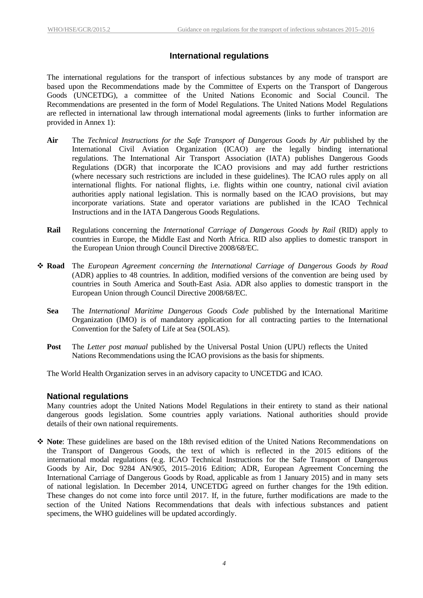### **International regulations**

<span id="page-7-0"></span>The international regulations for the transport of infectious substances by any mode of transport are based upon the Recommendations made by the Committee of Experts on the Transport of Dangerous Goods (UNCETDG), a committee of the United Nations Economic and Social Council. The Recommendations are presented in the form of Model Regulations. The United Nations Model Regulations are reflected in international law through international modal agreements (links to further information are provided in Annex 1):

- **Air** The *Technical Instructions for the Safe Transport of Dangerous Goods by Air* published by the International Civil Aviation Organization (ICAO) are the legally binding international regulations. The International Air Transport Association (IATA) publishes Dangerous Goods Regulations (DGR) that incorporate the ICAO provisions and may add further restrictions (where necessary such restrictions are included in these guidelines). The ICAO rules apply on all international flights. For national flights, i.e. flights within one country, national civil aviation authorities apply national legislation. This is normally based on the ICAO provisions, but may incorporate variations. State and operator variations are published in the ICAO Technical Instructions and in the IATA Dangerous Goods Regulations.
- **Rail** Regulations concerning the *International Carriage of Dangerous Goods by Rail* (RID) apply to countries in Europe, the Middle East and North Africa. RID also applies to domestic transport in the European Union through Council Directive 2008/68/EC.
- **Road** The *European Agreement concerning the International Carriage of Dangerous Goods by Road* (ADR) applies to 48 countries. In addition, modified versions of the convention are being used by countries in South America and South-East Asia. ADR also applies to domestic transport in the European Union through Council Directive 2008/68/EC.
	- **Sea** The *International Maritime Dangerous Goods Code* published by the International Maritime Organization (IMO) is of mandatory application for all contracting parties to the International Convention for the Safety of Life at Sea (SOLAS).
	- **Post** The *Letter post manual* published by the Universal Postal Union (UPU) reflects the United Nations Recommendations using the ICAO provisions as the basis for shipments.

The World Health Organization serves in an advisory capacity to UNCETDG and ICAO.

#### <span id="page-7-1"></span>**National regulations**

Many countries adopt the United Nations Model Regulations in their entirety to stand as their national dangerous goods legislation. Some countries apply variations. National authorities should provide details of their own national requirements.

 **Note**: These guidelines are based on the 18th revised edition of the United Nations Recommendations on the Transport of Dangerous Goods, the text of which is reflected in the 2015 editions of the international modal regulations (e.g. ICAO Technical Instructions for the Safe Transport of Dangerous Goods by Air, Doc 9284 AN/905, 2015–2016 Edition; ADR, European Agreement Concerning the International Carriage of Dangerous Goods by Road, applicable as from 1 January 2015) and in many sets of national legislation. In December 2014, UNCETDG agreed on further changes for the 19th edition. These changes do not come into force until 2017. If, in the future, further modifications are made to the section of the United Nations Recommendations that deals with infectious substances and patient specimens, the WHO guidelines will be updated accordingly.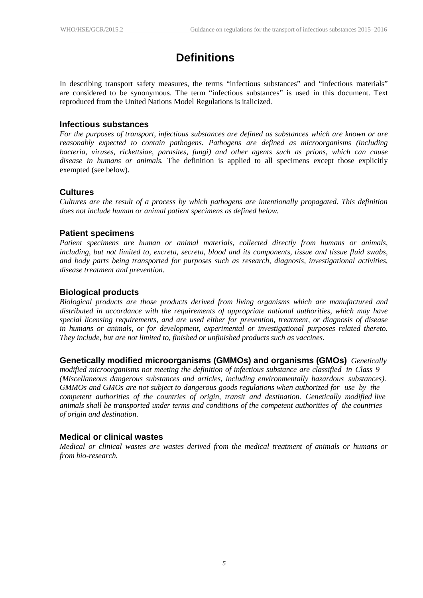### **Definitions**

<span id="page-8-0"></span>In describing transport safety measures, the terms "infectious substances" and "infectious materials" are considered to be synonymous. The term "infectious substances" is used in this document. Text reproduced from the United Nations Model Regulations is italicized.

#### <span id="page-8-1"></span>**Infectious substances**

*For the purposes of transport, infectious substances are defined as substances which are known or are reasonably expected to contain pathogens. Pathogens are defined as microorganisms (including bacteria, viruses, rickettsiae, parasites, fungi) and other agents such as prions, which can cause disease in humans or animals.* The definition is applied to all specimens except those explicitly exempted (see below).

### <span id="page-8-2"></span>**Cultures**

*Cultures are the result of a process by which pathogens are intentionally propagated. This definition does not include human or animal patient specimens as defined below.*

### <span id="page-8-3"></span>**Patient specimens**

*Patient specimens are human or animal materials, collected directly from humans or animals, including, but not limited to, excreta, secreta, blood and its components, tissue and tissue fluid swabs, and body parts being transported for purposes such as research, diagnosis, investigational activities, disease treatment and prevention*.

### <span id="page-8-4"></span>**Biological products**

*Biological products are those products derived from living organisms which are manufactured and distributed in accordance with the requirements of appropriate national authorities, which may have special licensing requirements, and are used either for prevention, treatment, or diagnosis of disease in humans or animals, or for development, experimental or investigational purposes related thereto. They include, but are not limited to, finished or unfinished products such as vaccines.*

**Genetically modified microorganisms (GMMOs) and organisms (GMOs)** *Genetically*

*modified microorganisms not meeting the definition of infectious substance are classified in Class 9 (Miscellaneous dangerous substances and articles, including environmentally hazardous substances). GMMOs and GMOs are not subject to dangerous goods regulations when authorized for use by the competent authorities of the countries of origin, transit and destination. Genetically modified live animals shall be transported under terms and conditions of the competent authorities of the countries of origin and destination*.

#### <span id="page-8-5"></span>**Medical or clinical wastes**

*Medical or clinical wastes are wastes derived from the medical treatment of animals or humans or from bio-research.*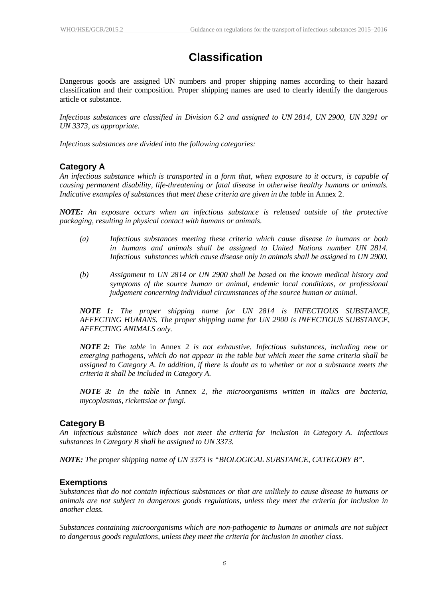# **Classification**

<span id="page-9-0"></span>Dangerous goods are assigned UN numbers and proper shipping names according to their hazard classification and their composition. Proper shipping names are used to clearly identify the dangerous article or substance.

*Infectious substances are classified in Division 6.2 and assigned to UN 2814, UN 2900, UN 3291 or UN 3373, as appropriate.*

*Infectious substances are divided into the following categories:*

### <span id="page-9-1"></span>**Category A**

An infectious substance which is transported in a form that, when exposure to it occurs, is capable of *causing permanent disability, life-threatening or fatal disease in otherwise healthy humans or animals. Indicative examples of substances that meet these criteria are given in the table* in Annex 2.

*NOTE: An exposure occurs when an infectious substance is released outside of the protective packaging, resulting in physical contact with humans or animals.*

- *(a) Infectious substances meeting these criteria which cause disease in humans or both in humans and animals shall be assigned to United Nations number UN 2814. Infectious substances which cause disease only in animals shall be assigned to UN 2900.*
- *(b) Assignment to UN 2814 or UN 2900 shall be based on the known medical history and symptoms of the source human or animal, endemic local conditions, or professional judgement concerning individual circumstances of the source human or animal.*

*NOTE 1: The proper shipping name for UN 2814 is INFECTIOUS SUBSTANCE, AFFECTING HUMANS. The proper shipping name for UN 2900 is INFECTIOUS SUBSTANCE, AFFECTING ANIMALS only.*

*NOTE 2: The table* in Annex 2 *is not exhaustive. Infectious substances, including new or emerging pathogens, which do not appear in the table but which meet the same criteria shall be* assigned to Category A. In addition, if there is doubt as to whether or not a substance meets the *criteria it shall be included in Category A.*

*NOTE 3: In the table* in Annex 2*, the microorganisms written in italics are bacteria, mycoplasmas, rickettsiae or fungi.*

### <span id="page-9-2"></span>**Category B**

*An infectious substance which does not meet the criteria for inclusion in Category A. Infectious substances in Category B shall be assigned to UN 3373.*

*NOTE: The proper shipping name of UN 3373 is "BIOLOGICAL SUBSTANCE, CATEGORY B".*

#### <span id="page-9-3"></span>**Exemptions**

*Substances that do not contain infectious substances or that are unlikely to cause disease in humans or animals are not subject to dangerous goods regulations, unless they meet the criteria for inclusion in another class.*

*Substances containing microorganisms which are non-pathogenic to humans or animals are not subject to dangerous goods regulations, unless they meet the criteria for inclusion in another class.*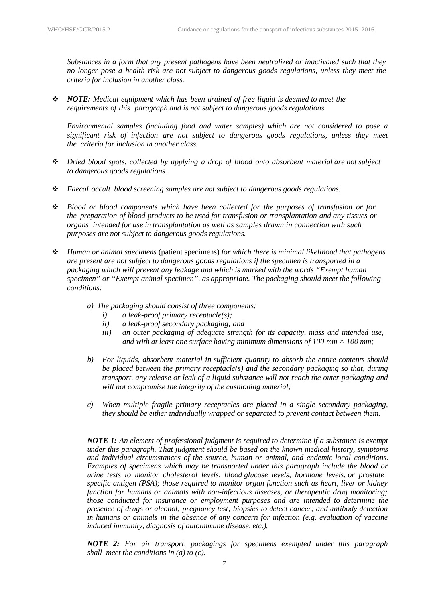*Substances in a form that any present pathogens have been neutralized or inactivated such that they no longer pose a health risk are not subject to dangerous goods regulations, unless they meet the criteria for inclusion in another class.*

 *NOTE: Medical equipment which has been drained of free liquid is deemed to meet the requirements of this paragraph and is not subject to dangerous goods regulations.*

*Environmental samples (including food and water samples) which are not considered to pose a significant risk of infection are not subject to dangerous goods regulations, unless they meet the criteria for inclusion in another class.*

- *Dried blood spots, collected by applying a drop of blood onto absorbent material are not subject to dangerous goods regulations.*
- *Faecal occult blood screening samples are not subject to dangerous goods regulations.*
- *Blood or blood components which have been collected for the purposes of transfusion or for the preparation of blood products to be used for transfusion or transplantation and any tissues or organs intended for use in transplantation as well as samples drawn in connection with such purposes are not subject to dangerous goods regulations.*
- *Human or animal specimens* (patient specimens) *for which there is minimal likelihood that pathogens are present are not subject to dangerous goods regulations if the specimen is transported in a packaging which will prevent any leakage and which is marked with the words "Exempt human specimen" or "Exempt animal specimen", as appropriate. The packaging should meet the following conditions:*
	- *a) The packaging should consist of three components:*
		- *i) a leak-proof primary receptacle(s);*
		- *ii) a leak-proof secondary packaging; and*
		- *iii) an outer packaging of adequate strength for its capacity, mass and intended use, and with at least one surface having minimum dimensions of 100 mm*  $\times$  *100 mm;*
	- *b) For liquids, absorbent material in sufficient quantity to absorb the entire contents should be placed between the primary receptacle(s) and the secondary packaging so that, during transport, any release or leak of a liquid substance will not reach the outer packaging and will not compromise the integrity of the cushioning material;*
	- *c) When multiple fragile primary receptacles are placed in a single secondary packaging, they should be either individually wrapped or separated to prevent contact between them.*

*NOTE 1: An element of professional judgment is required to determine if a substance is exempt under this paragraph. That judgment should be based on the known medical history, symptoms and individual circumstances of the source, human or animal, and endemic local conditions. Examples of specimens which may be transported under this paragraph include the blood or urine tests to monitor cholesterol levels, blood glucose levels, hormone levels, or prostate specific antigen (PSA); those required to monitor organ function such as heart, liver or kidney function for humans or animals with non-infectious diseases, or therapeutic drug monitoring; those conducted for insurance or employment purposes and are intended to determine the presence of drugs or alcohol; pregnancy test; biopsies to detect cancer; and antibody detection in humans or animals in the absence of any concern for infection (e.g. evaluation of vaccine induced immunity, diagnosis of autoimmune disease, etc.).*

*NOTE 2: For air transport, packagings for specimens exempted under this paragraph shall meet the conditions in (a) to (c).*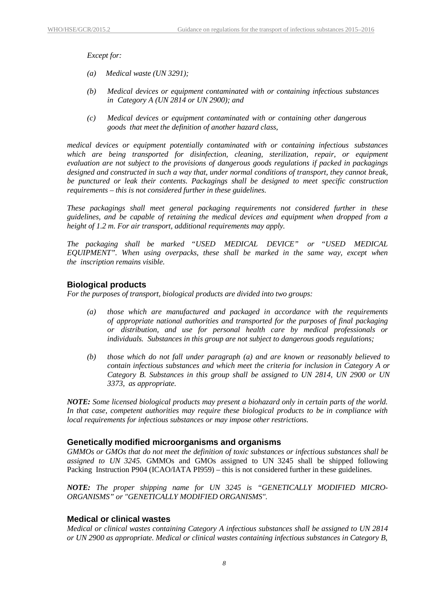*Except for:*

- *(a) Medical waste (UN 3291);*
- *(b) Medical devices or equipment contaminated with or containing infectious substances in Category A (UN 2814 or UN 2900); and*
- *(c) Medical devices or equipment contaminated with or containing other dangerous goods that meet the definition of another hazard class,*

*medical devices or equipment potentially contaminated with or containing infectious substances which are being transported for disinfection, cleaning, sterilization, repair, or equipment evaluation are not subject to the provisions of dangerous goods regulations if packed in packagings designed and constructed in such a way that, under normal conditions of transport, they cannot break, be punctured or leak their contents. Packagings shall be designed to meet specific construction requirements – this is not considered further in these guidelines.*

*These packagings shall meet general packaging requirements not considered further in these guidelines, and be capable of retaining the medical devices and equipment when dropped from a height of 1.2 m. For air transport, additional requirements may apply.*

*The packaging shall be marked "USED MEDICAL DEVICE" or "USED MEDICAL EQUIPMENT". When using overpacks, these shall be marked in the same way, except when the inscription remains visible.*

#### <span id="page-11-0"></span>**Biological products**

*For the purposes of transport, biological products are divided into two groups:*

- *(a) those which are manufactured and packaged in accordance with the requirements of appropriate national authorities and transported for the purposes of final packaging or distribution, and use for personal health care by medical professionals or individuals. Substances in this group are not subject to dangerous goods regulations;*
- *(b) those which do not fall under paragraph (a) and are known or reasonably believed to contain infectious substances and which meet the criteria for inclusion in Category A or Category B. Substances in this group shall be assigned to UN 2814, UN 2900 or UN 3373, as appropriate.*

*NOTE: Some licensed biological products may present a biohazard only in certain parts of the world. In that case, competent authorities may require these biological products to be in compliance with local requirements for infectious substances or may impose other restrictions.*

#### <span id="page-11-1"></span>**Genetically modified microorganisms and organisms**

*GMMOs or GMOs that do not meet the definition of toxic substances or infectious substances shall be assigned to UN 3245.* GMMOs and GMOs assigned to UN 3245 shall be shipped following Packing Instruction P904 (ICAO/IATA PI959) – this is not considered further in these guidelines.

*NOTE: The proper shipping name for UN 3245 is "GENETICALLY MODIFIED MICRO-ORGANISMS" or "GENETICALLY MODIFIED ORGANISMS".*

#### <span id="page-11-2"></span>**Medical or clinical wastes**

*Medical or clinical wastes containing Category A infectious substances shall be assigned to UN 2814 or UN 2900 as appropriate. Medical or clinical wastes containing infectious substances in Category B,*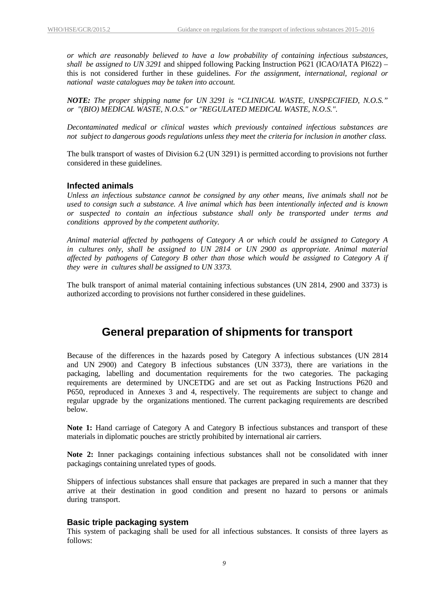*or which are reasonably believed to have a low probability of containing infectious substances, shall be assigned to UN 3291* and shipped following Packing Instruction P621 (ICAO/IATA PI622) – this is not considered further in these guidelines. *For the assignment, international, regional or national waste catalogues may be taken into account.*

*NOTE: The proper shipping name for UN 3291 is "CLINICAL WASTE, UNSPECIFIED, N.O.S." or "(BIO) MEDICAL WASTE, N.O.S." or "REGULATED MEDICAL WASTE, N.O.S.".*

*Decontaminated medical or clinical wastes which previously contained infectious substances are not subject to dangerous goods regulations unless they meet the criteria for inclusion in another class.*

The bulk transport of wastes of Division 6.2 (UN 3291) is permitted according to provisions not further considered in these guidelines.

#### <span id="page-12-0"></span>**Infected animals**

*Unless an infectious substance cannot be consigned by any other means, live animals shall not be used to consign such a substance. A live animal which has been intentionally infected and is known or suspected to contain an infectious substance shall only be transported under terms and conditions approved by the competent authority.*

*Animal material affected by pathogens of Category A or which could be assigned to Category A in cultures only, shall be assigned to UN 2814 or UN 2900 as appropriate. Animal material affected by pathogens of Category B other than those which would be assigned to Category A if they were in cultures shall be assigned to UN 3373.*

The bulk transport of animal material containing infectious substances (UN 2814, 2900 and 3373) is authorized according to provisions not further considered in these guidelines.

### **General preparation of shipments for transport**

<span id="page-12-1"></span>Because of the differences in the hazards posed by Category A infectious substances (UN 2814 and UN 2900) and Category B infectious substances (UN 3373), there are variations in the packaging, labelling and documentation requirements for the two categories. The packaging requirements are determined by UNCETDG and are set out as Packing Instructions P620 and P650, reproduced in Annexes 3 and 4, respectively. The requirements are subject to change and regular upgrade by the organizations mentioned. The current packaging requirements are described below.

**Note 1:** Hand carriage of Category A and Category B infectious substances and transport of these materials in diplomatic pouches are strictly prohibited by international air carriers.

**Note 2:** Inner packagings containing infectious substances shall not be consolidated with inner packagings containing unrelated types of goods.

Shippers of infectious substances shall ensure that packages are prepared in such a manner that they arrive at their destination in good condition and present no hazard to persons or animals during transport.

#### <span id="page-12-2"></span>**Basic triple packaging system**

This system of packaging shall be used for all infectious substances. It consists of three layers as follows: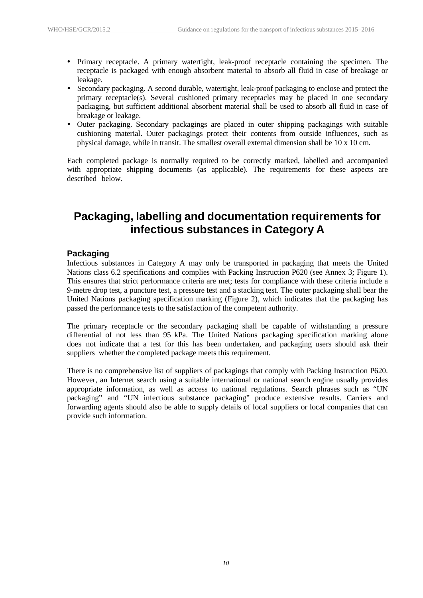- Primary receptacle. A primary watertight, leak-proof receptacle containing the specimen. The receptacle is packaged with enough absorbent material to absorb all fluid in case of breakage or leakage.
- Secondary packaging. A second durable, watertight, leak-proof packaging to enclose and protect the primary receptacle(s). Several cushioned primary receptacles may be placed in one secondary packaging, but sufficient additional absorbent material shall be used to absorb all fluid in case of breakage or leakage.
- Outer packaging. Secondary packagings are placed in outer shipping packagings with suitable cushioning material. Outer packagings protect their contents from outside influences, such as physical damage, while in transit. The smallest overall external dimension shall be 10 x 10 cm.

Each completed package is normally required to be correctly marked, labelled and accompanied with appropriate shipping documents (as applicable). The requirements for these aspects are described below.

### <span id="page-13-0"></span>**Packaging, labelling and documentation requirements for infectious substances in Category A**

### <span id="page-13-1"></span>**Packaging**

Infectious substances in Category A may only be transported in packaging that meets the United Nations class 6.2 specifications and complies with Packing Instruction P620 (see Annex 3; Figure 1). This ensures that strict performance criteria are met; tests for compliance with these criteria include a 9-metre drop test, a puncture test, a pressure test and a stacking test. The outer packaging shall bear the United Nations packaging specification marking (Figure 2), which indicates that the packaging has passed the performance tests to the satisfaction of the competent authority.

The primary receptacle or the secondary packaging shall be capable of withstanding a pressure differential of not less than 95 kPa. The United Nations packaging specification marking alone does not indicate that a test for this has been undertaken, and packaging users should ask their suppliers whether the completed package meets this requirement.

There is no comprehensive list of suppliers of packagings that comply with Packing Instruction P620. However, an Internet search using a suitable international or national search engine usually provides appropriate information, as well as access to national regulations. Search phrases such as "UN packaging" and "UN infectious substance packaging" produce extensive results. Carriers and forwarding agents should also be able to supply details of local suppliers or local companies that can provide such information.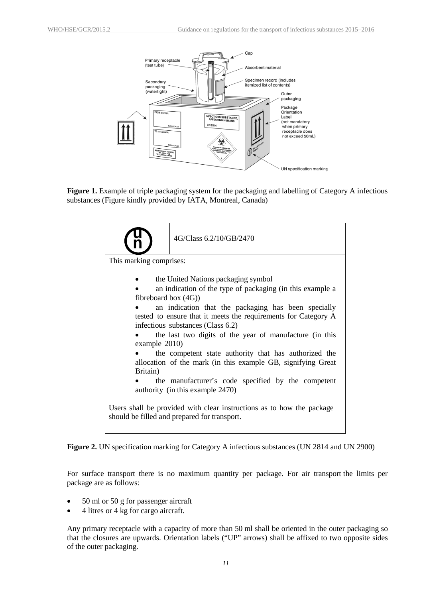

**Figure 1.** Example of triple packaging system for the packaging and labelling of Category A infectious substances (Figure kindly provided by IATA, Montreal, Canada)



**Figure 2.** UN specification marking for Category A infectious substances (UN 2814 and UN 2900)

For surface transport there is no maximum quantity per package. For air transport the limits per package are as follows:

- 50 ml or 50 g for passenger aircraft
- 4 litres or 4 kg for cargo aircraft.

Any primary receptacle with a capacity of more than 50 ml shall be oriented in the outer packaging so that the closures are upwards. Orientation labels ("UP" arrows) shall be affixed to two opposite sides of the outer packaging.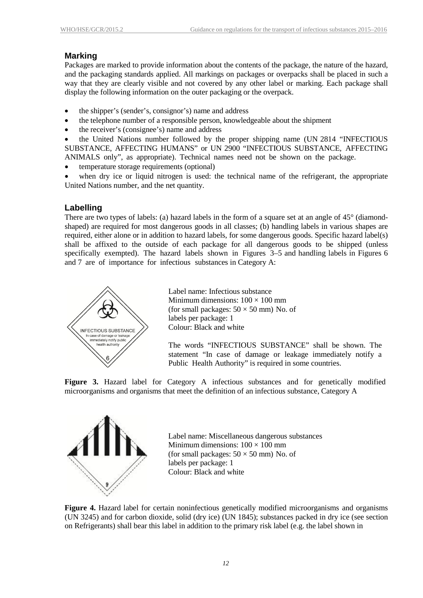### <span id="page-15-0"></span>**Marking**

Packages are marked to provide information about the contents of the package, the nature of the hazard, and the packaging standards applied. All markings on packages or overpacks shall be placed in such a way that they are clearly visible and not covered by any other label or marking. Each package shall display the following information on the outer packaging or the overpack.

- the shipper's (sender's, consignor's) name and address
- the telephone number of a responsible person, knowledgeable about the shipment
- the receiver's (consignee's) name and address

• the United Nations number followed by the proper shipping name (UN 2814 "INFECTIOUS SUBSTANCE, AFFECTING HUMANS" or UN 2900 "INFECTIOUS SUBSTANCE, AFFECTING ANIMALS only", as appropriate). Technical names need not be shown on the package.

- temperature storage requirements (optional)
- when dry ice or liquid nitrogen is used: the technical name of the refrigerant, the appropriate United Nations number, and the net quantity.

### <span id="page-15-1"></span>**Labelling**

There are two types of labels: (a) hazard labels in the form of a square set at an angle of 45° (diamondshaped) are required for most dangerous goods in all classes; (b) handling labels in various shapes are required, either alone or in addition to hazard labels, for some dangerous goods. Specific hazard label(s) shall be affixed to the outside of each package for all dangerous goods to be shipped (unless specifically exempted). The hazard labels shown in Figures 3–5 and handling labels in Figures 6 and 7 are of importance for infectious substances in Category A:



Label name: Infectious substance Minimum dimensions:  $100 \times 100$  mm (for small packages:  $50 \times 50$  mm) No. of labels per package: 1 Colour: Black and white

The words "INFECTIOUS SUBSTANCE" shall be shown. The statement "In case of damage or leakage immediately notify a Public Health Authority" is required in some countries.

**Figure 3.** Hazard label for Category A infectious substances and for genetically modified microorganisms and organisms that meet the definition of an infectious substance, Category A



Label name: Miscellaneous dangerous substances Minimum dimensions:  $100 \times 100$  mm (for small packages:  $50 \times 50$  mm) No. of labels per package: 1 Colour: Black and white

**Figure 4.** Hazard label for certain noninfectious genetically modified microorganisms and organisms (UN 3245) and for carbon dioxide, solid (dry ice) (UN 1845); substances packed in dry ice (see section on Refrigerants) shall bear this label in addition to the primary risk label (e.g. the label shown in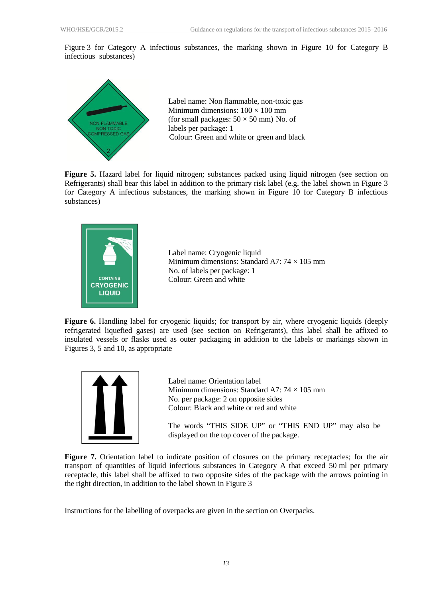Figure 3 for Category A infectious substances, the marking shown in Figure 10 for Category B infectious substances)



Label name: Non flammable, non-toxic gas Minimum dimensions:  $100 \times 100$  mm (for small packages:  $50 \times 50$  mm) No. of labels per package: 1 Colour: Green and white or green and black

**Figure 5.** Hazard label for liquid nitrogen; substances packed using liquid nitrogen (see section on Refrigerants) shall bear this label in addition to the primary risk label (e.g. the label shown in Figure 3 for Category A infectious substances, the marking shown in Figure 10 for Category B infectious substances)



Label name: Cryogenic liquid Minimum dimensions: Standard A7:  $74 \times 105$  mm No. of labels per package: 1 Colour: Green and white

**Figure 6.** Handling label for cryogenic liquids; for transport by air, where cryogenic liquids (deeply refrigerated liquefied gases) are used (see section on Refrigerants), this label shall be affixed to insulated vessels or flasks used as outer packaging in addition to the labels or markings shown in Figures 3, 5 and 10, as appropriate



Label name: Orientation label Minimum dimensions: Standard A7:  $74 \times 105$  mm No. per package: 2 on opposite sides Colour: Black and white or red and white

The words "THIS SIDE UP" or "THIS END UP" may also be displayed on the top cover of the package.

**Figure 7.** Orientation label to indicate position of closures on the primary receptacles; for the air transport of quantities of liquid infectious substances in Category A that exceed 50 ml per primary receptacle, this label shall be affixed to two opposite sides of the package with the arrows pointing in the right direction, in addition to the label shown in Figure 3

Instructions for the labelling of overpacks are given in the section on Overpacks.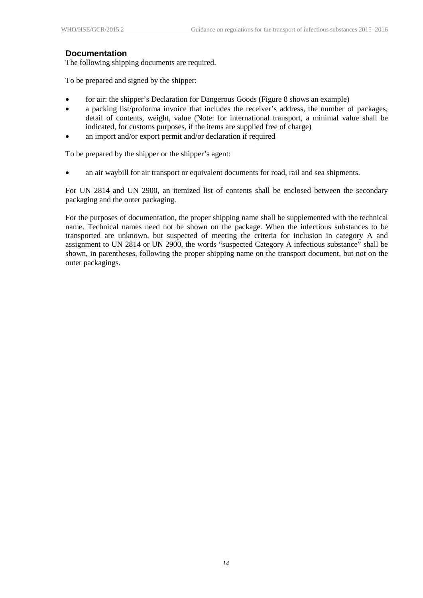#### <span id="page-17-0"></span>**Documentation**

The following shipping documents are required.

To be prepared and signed by the shipper:

- for air: the shipper's Declaration for Dangerous Goods (Figure 8 shows an example)
- a packing list/proforma invoice that includes the receiver's address, the number of packages, detail of contents, weight, value (Note: for international transport, a minimal value shall be indicated, for customs purposes, if the items are supplied free of charge)
- an import and/or export permit and/or declaration if required

To be prepared by the shipper or the shipper's agent:

• an air waybill for air transport or equivalent documents for road, rail and sea shipments.

For UN 2814 and UN 2900, an itemized list of contents shall be enclosed between the secondary packaging and the outer packaging.

For the purposes of documentation, the proper shipping name shall be supplemented with the technical name. Technical names need not be shown on the package. When the infectious substances to be transported are unknown, but suspected of meeting the criteria for inclusion in category A and assignment to UN 2814 or UN 2900, the words "suspected Category A infectious substance" shall be shown, in parentheses, following the proper shipping name on the transport document, but not on the outer packagings*.*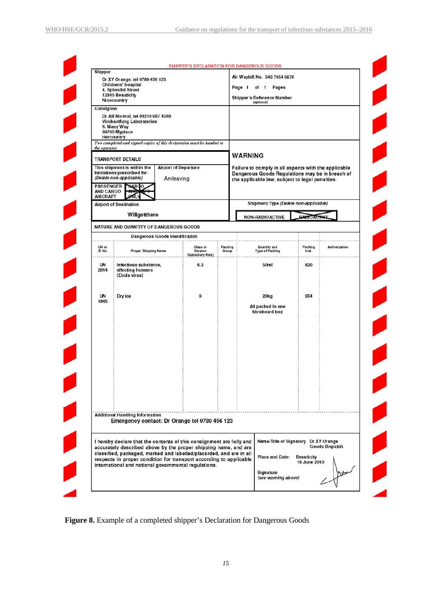| Shipper                                   | Dr XY Orange, tel 0789 456 123                                                                                                            |                                    |                                           |                                             | SHIPPER'S DECLARATION FOR DANGEROUS GOODS<br>Air Waybill No. 543 7654 9876                                                                                 |                                   |                       |  |  |  |  |
|-------------------------------------------|-------------------------------------------------------------------------------------------------------------------------------------------|------------------------------------|-------------------------------------------|---------------------------------------------|------------------------------------------------------------------------------------------------------------------------------------------------------------|-----------------------------------|-----------------------|--|--|--|--|
|                                           | Childrens' hospital<br>4, Splendid Street                                                                                                 |                                    |                                           |                                             | Page 1<br>of 1 Pages                                                                                                                                       |                                   |                       |  |  |  |  |
|                                           | 12345 Beauticity<br>Nicecountry                                                                                                           |                                    |                                           |                                             | Shipper's Reference Number<br>(optional)                                                                                                                   |                                   |                       |  |  |  |  |
| Consignee                                 |                                                                                                                                           |                                    |                                           |                                             |                                                                                                                                                            |                                   |                       |  |  |  |  |
|                                           | Dr AB Normal, tel 03210 987 4568<br>Virobactfung Laboratories<br>6, Many Way<br>98765 Myplace<br>Hercountry                               |                                    |                                           |                                             |                                                                                                                                                            |                                   |                       |  |  |  |  |
| the operator.                             | Two completed and signed copies of this declaration must be handed to                                                                     |                                    |                                           |                                             |                                                                                                                                                            |                                   |                       |  |  |  |  |
|                                           | <b>TRANSPORT DETAILS</b>                                                                                                                  |                                    |                                           |                                             | <b>WARNING</b>                                                                                                                                             |                                   |                       |  |  |  |  |
|                                           | This shipment is within the<br>limitations prescribed for:<br>(Delete non-applicable)                                                     | Airport of Departure:<br>Amleaving |                                           |                                             | Failure to comply in all aspects with the applicable<br>Dangerous Goods Regulations may be in breach of<br>the applicable law, subject to legal penalties. |                                   |                       |  |  |  |  |
| <b>PASSENGER</b><br>AND CARGO<br>AIRCRAFT | <b>SARGO</b><br><b>ON</b>                                                                                                                 |                                    |                                           |                                             |                                                                                                                                                            |                                   |                       |  |  |  |  |
|                                           | <b>Airport of Destination</b>                                                                                                             |                                    |                                           |                                             | Shipment Type (Delete non-applicable)                                                                                                                      |                                   |                       |  |  |  |  |
|                                           | Willgetthere                                                                                                                              |                                    |                                           |                                             | NON-RADIOACTIVE                                                                                                                                            | <b>DABIOACTIVE</b>                |                       |  |  |  |  |
|                                           | NATURE AND QUANTITY OF DANGEROUS GOODS                                                                                                    |                                    |                                           |                                             |                                                                                                                                                            |                                   |                       |  |  |  |  |
|                                           |                                                                                                                                           | Dangerous Goods Identification     |                                           |                                             |                                                                                                                                                            |                                   |                       |  |  |  |  |
| UN or<br>ID No.                           | Proper Shipping Name                                                                                                                      |                                    | Class or<br>Division<br>(Subsidiary Risk) | Packing<br>Group                            | Quantity and<br><b>Type of Packing</b>                                                                                                                     | Packing<br>Inst.                  | Authorization         |  |  |  |  |
| UN<br>2814                                | Infectious substance,<br>affecting humans<br>(Ebola virus)                                                                                |                                    | 6.2                                       |                                             | 50ml                                                                                                                                                       | 620                               |                       |  |  |  |  |
| UN<br>1845                                | Dry ice                                                                                                                                   | 9                                  |                                           | 20kg<br>All packed in one<br>fibreboard box | 954                                                                                                                                                        |                                   |                       |  |  |  |  |
|                                           |                                                                                                                                           |                                    |                                           |                                             |                                                                                                                                                            |                                   |                       |  |  |  |  |
|                                           |                                                                                                                                           |                                    |                                           |                                             |                                                                                                                                                            |                                   |                       |  |  |  |  |
|                                           | <b>Additional Handling Information</b><br>Emergency contact: Dr Orange tel 0789 456 123                                                   |                                    |                                           |                                             |                                                                                                                                                            |                                   |                       |  |  |  |  |
|                                           | I hereby declare that the contents of this consignment are fully and<br>accurately described above by the proper shipping name, and are   |                                    |                                           |                                             | Name/Title of Signatory Dr XY Orange                                                                                                                       |                                   | <b>Goods Dispatch</b> |  |  |  |  |
|                                           | classified, packaged, marked and labelled/placarded, and are in all<br>respects in proper condition for transport according to applicable |                                    |                                           |                                             | Place and Date:                                                                                                                                            | <b>Beauticity</b><br>18 June 2010 |                       |  |  |  |  |
|                                           | international and national governmental regulations.                                                                                      |                                    |                                           |                                             |                                                                                                                                                            |                                   |                       |  |  |  |  |

**Figure 8.** Example of a completed shipper's Declaration for Dangerous Goods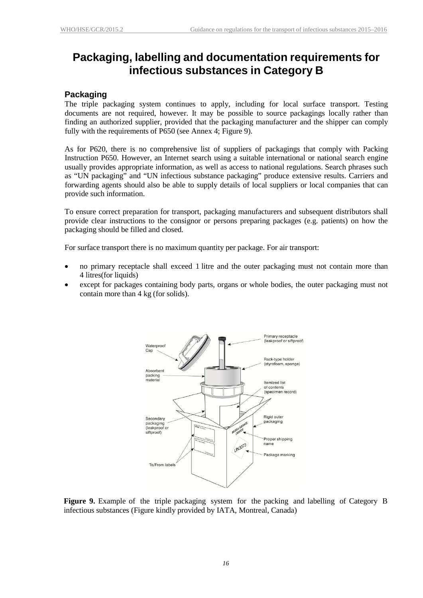### <span id="page-19-0"></span>**Packaging, labelling and documentation requirements for infectious substances in Category B**

#### <span id="page-19-1"></span>**Packaging**

The triple packaging system continues to apply, including for local surface transport. Testing documents are not required, however. It may be possible to source packagings locally rather than finding an authorized supplier, provided that the packaging manufacturer and the shipper can comply fully with the requirements of P650 (see Annex 4; Figure 9).

As for P620, there is no comprehensive list of suppliers of packagings that comply with Packing Instruction P650. However, an Internet search using a suitable international or national search engine usually provides appropriate information, as well as access to national regulations. Search phrases such as "UN packaging" and "UN infectious substance packaging" produce extensive results. Carriers and forwarding agents should also be able to supply details of local suppliers or local companies that can provide such information.

To ensure correct preparation for transport, packaging manufacturers and subsequent distributors shall provide clear instructions to the consignor or persons preparing packages (e.g. patients) on how the packaging should be filled and closed.

For surface transport there is no maximum quantity per package. For air transport:

- no primary receptacle shall exceed 1 litre and the outer packaging must not contain more than 4 litres(for liquids)
- except for packages containing body parts, organs or whole bodies, the outer packaging must not contain more than 4 kg (for solids).



**Figure 9.** Example of the triple packaging system for the packing and labelling of Category B infectious substances (Figure kindly provided by IATA, Montreal, Canada)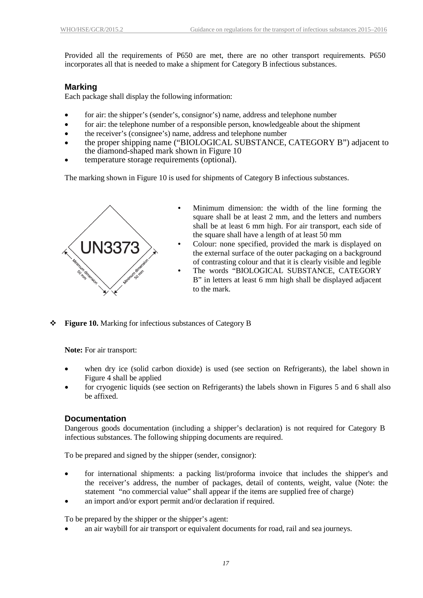Provided all the requirements of P650 are met, there are no other transport requirements. P650 incorporates all that is needed to make a shipment for Category B infectious substances.

#### <span id="page-20-0"></span>**Marking**

Each package shall display the following information:

- for air: the shipper's (sender's, consignor's) name, address and telephone number
- for air: the telephone number of a responsible person, knowledgeable about the shipment
- the receiver's (consignee's) name, address and telephone number
- the proper shipping name ("BIOLOGICAL SUBSTANCE, CATEGORY B") adjacent to the diamond-shaped mark shown in Figure 10
- temperature storage requirements (optional).

The marking shown in Figure 10 is used for shipments of Category B infectious substances.



**Figure 10.** Marking for infectious substances of Category B

**Note:** For air transport:

- when dry ice (solid carbon dioxide) is used (see section on Refrigerants), the label shown in Figure 4 shall be applied
- for cryogenic liquids (see section on Refrigerants) the labels shown in Figures 5 and 6 shall also be affixed.

#### <span id="page-20-1"></span>**Documentation**

Dangerous goods documentation (including a shipper's declaration) is not required for Category B infectious substances. The following shipping documents are required.

To be prepared and signed by the shipper (sender, consignor):

- for international shipments: a packing list/proforma invoice that includes the shipper's and the receiver's address, the number of packages, detail of contents, weight, value (Note: the statement "no commercial value" shall appear if the items are supplied free of charge)
- an import and/or export permit and/or declaration if required.

To be prepared by the shipper or the shipper's agent:

• an air waybill for air transport or equivalent documents for road, rail and sea journeys.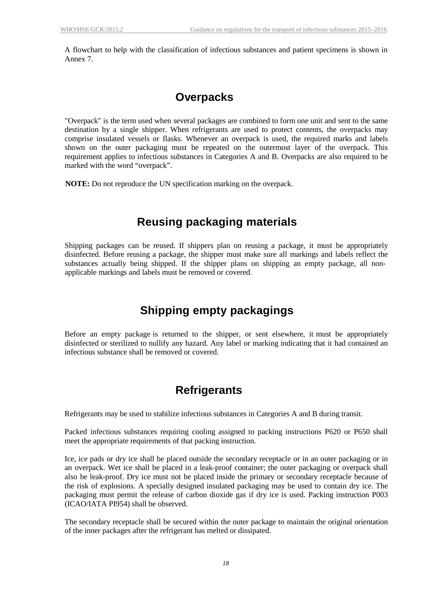A flowchart to help with the classification of infectious substances and patient specimens is shown in Annex 7.

### **Overpacks**

<span id="page-21-0"></span>"Overpack" is the term used when several packages are combined to form one unit and sent to the same destination by a single shipper. When refrigerants are used to protect contents, the overpacks may comprise insulated vessels or flasks. Whenever an overpack is used, the required marks and labels shown on the outer packaging must be repeated on the outermost layer of the overpack. This requirement applies to infectious substances in Categories A and B. Overpacks are also required to be marked with the word "overpack".

**NOTE:** Do not reproduce the UN specification marking on the overpack.

### **Reusing packaging materials**

<span id="page-21-1"></span>Shipping packages can be reused. If shippers plan on reusing a package, it must be appropriately disinfected. Before reusing a package, the shipper must make sure all markings and labels reflect the substances actually being shipped. If the shipper plans on shipping an empty package, all nonapplicable markings and labels must be removed or covered.

### **Shipping empty packagings**

<span id="page-21-2"></span>Before an empty package is returned to the shipper, or sent elsewhere, it must be appropriately disinfected or sterilized to nullify any hazard. Any label or marking indicating that it had contained an infectious substance shall be removed or covered.

### **Refrigerants**

<span id="page-21-3"></span>Refrigerants may be used to stabilize infectious substances in Categories A and B during transit.

Packed infectious substances requiring cooling assigned to packing instructions P620 or P650 shall meet the appropriate requirements of that packing instruction.

Ice, ice pads or dry ice shall be placed outside the secondary receptacle or in an outer packaging or in an overpack. Wet ice shall be placed in a leak-proof container; the outer packaging or overpack shall also be leak-proof. Dry ice must not be placed inside the primary or secondary receptacle because of the risk of explosions. A specially designed insulated packaging may be used to contain dry ice. The packaging must permit the release of carbon dioxide gas if dry ice is used. Packing instruction P003 (ICAO/IATA PI954) shall be observed.

The secondary receptacle shall be secured within the outer package to maintain the original orientation of the inner packages after the refrigerant has melted or dissipated.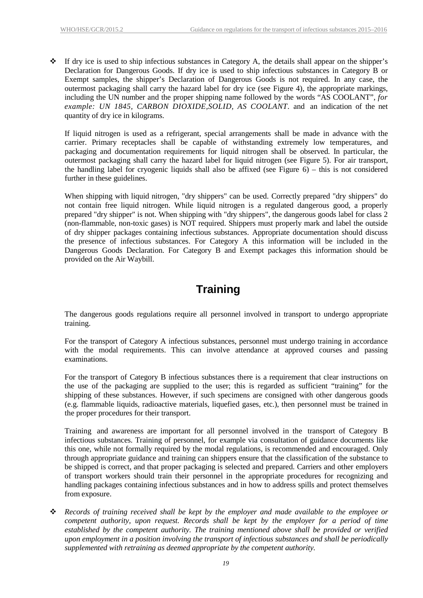$\cdot \cdot$  If dry ice is used to ship infectious substances in Category A, the details shall appear on the shipper's Declaration for Dangerous Goods. If dry ice is used to ship infectious substances in Category B or Exempt samples, the shipper's Declaration of Dangerous Goods is not required. In any case, the outermost packaging shall carry the hazard label for dry ice (see Figure 4), the appropriate markings, including the UN number and the proper shipping name followed by the words "AS COOLANT", *for example: UN 1845, CARBON DIOXIDE,SOLID, AS COOLANT*. and an indication of the net quantity of dry ice in kilograms.

If liquid nitrogen is used as a refrigerant, special arrangements shall be made in advance with the carrier. Primary receptacles shall be capable of withstanding extremely low temperatures, and packaging and documentation requirements for liquid nitrogen shall be observed. In particular, the outermost packaging shall carry the hazard label for liquid nitrogen (see Figure 5). For air transport, the handling label for cryogenic liquids shall also be affixed (see Figure 6) – this is not considered further in these guidelines.

When shipping with liquid nitrogen, "dry shippers" can be used. Correctly prepared "dry shippers" do not contain free liquid nitrogen. While liquid nitrogen is a regulated dangerous good, a properly prepared "dry shipper" is not. When shipping with "dry shippers", the dangerous goods label for class 2 (non-flammable, non-toxic gases) is NOT required. Shippers must properly mark and label the outside of dry shipper packages containing infectious substances. Appropriate documentation should discuss the presence of infectious substances. For Category A this information will be included in the Dangerous Goods Declaration. For Category B and Exempt packages this information should be provided on the Air Waybill.

# **Training**

<span id="page-22-0"></span>The dangerous goods regulations require all personnel involved in transport to undergo appropriate training.

For the transport of Category A infectious substances, personnel must undergo training in accordance with the modal requirements. This can involve attendance at approved courses and passing examinations.

For the transport of Category B infectious substances there is a requirement that clear instructions on the use of the packaging are supplied to the user; this is regarded as sufficient "training" for the shipping of these substances. However, if such specimens are consigned with other dangerous goods (e.g. flammable liquids, radioactive materials, liquefied gases, etc.), then personnel must be trained in the proper procedures for their transport.

Training and awareness are important for all personnel involved in the transport of Category B infectious substances. Training of personnel, for example via consultation of guidance documents like this one, while not formally required by the modal regulations, is recommended and encouraged. Only through appropriate guidance and training can shippers ensure that the classification of the substance to be shipped is correct, and that proper packaging is selected and prepared. Carriers and other employers of transport workers should train their personnel in the appropriate procedures for recognizing and handling packages containing infectious substances and in how to address spills and protect themselves from exposure.

 *Records of training received shall be kept by the employer and made available to the employee or competent authority, upon request. Records shall be kept by the employer for a period of time established by the competent authority. The training mentioned above shall be provided or verified upon employment in a position involving the transport of infectious substances and shall be periodically supplemented with retraining as deemed appropriate by the competent authority.*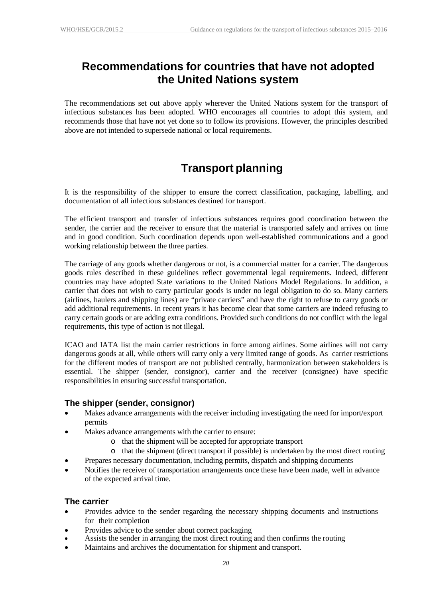### <span id="page-23-0"></span>**Recommendations for countries that have not adopted the United Nations system**

The recommendations set out above apply wherever the United Nations system for the transport of infectious substances has been adopted. WHO encourages all countries to adopt this system, and recommends those that have not yet done so to follow its provisions. However, the principles described above are not intended to supersede national or local requirements.

# **Transport planning**

<span id="page-23-1"></span>It is the responsibility of the shipper to ensure the correct classification, packaging, labelling, and documentation of all infectious substances destined for transport.

The efficient transport and transfer of infectious substances requires good coordination between the sender, the carrier and the receiver to ensure that the material is transported safely and arrives on time and in good condition. Such coordination depends upon well-established communications and a good working relationship between the three parties.

The carriage of any goods whether dangerous or not, is a commercial matter for a carrier. The dangerous goods rules described in these guidelines reflect governmental legal requirements. Indeed, different countries may have adopted State variations to the United Nations Model Regulations. In addition, a carrier that does not wish to carry particular goods is under no legal obligation to do so. Many carriers (airlines, haulers and shipping lines) are "private carriers" and have the right to refuse to carry goods or add additional requirements. In recent years it has become clear that some carriers are indeed refusing to carry certain goods or are adding extra conditions. Provided such conditions do not conflict with the legal requirements, this type of action is not illegal.

ICAO and IATA list the main carrier restrictions in force among airlines. Some airlines will not carry dangerous goods at all, while others will carry only a very limited range of goods. As carrier restrictions for the different modes of transport are not published centrally, harmonization between stakeholders is essential. The shipper (sender, consignor), carrier and the receiver (consignee) have specific responsibilities in ensuring successful transportation.

### <span id="page-23-2"></span>**The shipper (sender, consignor)**

- Makes advance arrangements with the receiver including investigating the need for import/export permits
- Makes advance arrangements with the carrier to ensure:
	- o that the shipment will be accepted for appropriate transport
	- o that the shipment (direct transport if possible) is undertaken by the most direct routing
- Prepares necessary documentation, including permits, dispatch and shipping documents
- Notifies the receiver of transportation arrangements once these have been made, well in advance of the expected arrival time.

### <span id="page-23-3"></span>**The carrier**

- Provides advice to the sender regarding the necessary shipping documents and instructions for their completion
- Provides advice to the sender about correct packaging
- Assists the sender in arranging the most direct routing and then confirms the routing
- Maintains and archives the documentation for shipment and transport.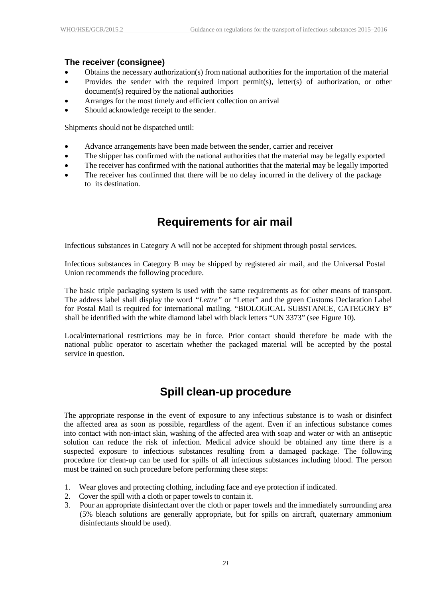### <span id="page-24-0"></span>**The receiver (consignee)**

- Obtains the necessary authorization(s) from national authorities for the importation of the material
- Provides the sender with the required import permit(s), letter(s) of authorization, or other document(s) required by the national authorities
- Arranges for the most timely and efficient collection on arrival
- Should acknowledge receipt to the sender.

Shipments should not be dispatched until:

- Advance arrangements have been made between the sender, carrier and receiver
- The shipper has confirmed with the national authorities that the material may be legally exported
- The receiver has confirmed with the national authorities that the material may be legally imported
- The receiver has confirmed that there will be no delay incurred in the delivery of the package to its destination.

### **Requirements for air mail**

<span id="page-24-1"></span>Infectious substances in Category A will not be accepted for shipment through postal services.

Infectious substances in Category B may be shipped by registered air mail, and the Universal Postal Union recommends the following procedure.

The basic triple packaging system is used with the same requirements as for other means of transport. The address label shall display the word *"Lettre"* or "Letter" and the green Customs Declaration Label for Postal Mail is required for international mailing. "BIOLOGICAL SUBSTANCE, CATEGORY B" shall be identified with the white diamond label with black letters "UN 3373" (see Figure 10).

Local/international restrictions may be in force. Prior contact should therefore be made with the national public operator to ascertain whether the packaged material will be accepted by the postal service in question.

### **Spill clean-up procedure**

<span id="page-24-2"></span>The appropriate response in the event of exposure to any infectious substance is to wash or disinfect the affected area as soon as possible, regardless of the agent. Even if an infectious substance comes into contact with non-intact skin, washing of the affected area with soap and water or with an antiseptic solution can reduce the risk of infection. Medical advice should be obtained any time there is a suspected exposure to infectious substances resulting from a damaged package. The following procedure for clean-up can be used for spills of all infectious substances including blood. The person must be trained on such procedure before performing these steps:

- 1. Wear gloves and protecting clothing, including face and eye protection if indicated.
- 2. Cover the spill with a cloth or paper towels to contain it.
- 3. Pour an appropriate disinfectant over the cloth or paper towels and the immediately surrounding area (5% bleach solutions are generally appropriate, but for spills on aircraft, quaternary ammonium disinfectants should be used).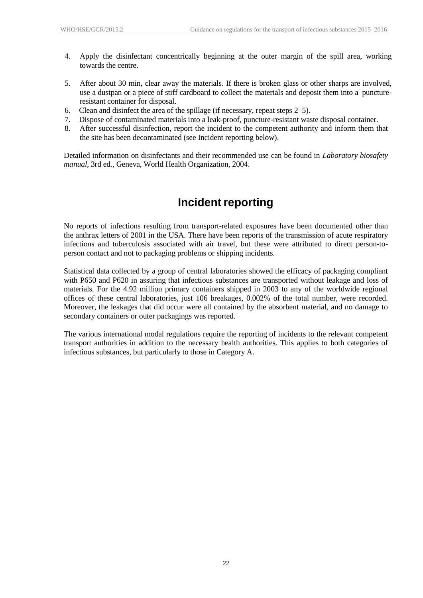- 4. Apply the disinfectant concentrically beginning at the outer margin of the spill area, working towards the centre.
- 5. After about 30 min, clear away the materials. If there is broken glass or other sharps are involved, use a dustpan or a piece of stiff cardboard to collect the materials and deposit them into a punctureresistant container for disposal.
- 6. Clean and disinfect the area of the spillage (if necessary, repeat steps 2–5).
- 7. Dispose of contaminated materials into a leak-proof, puncture-resistant waste disposal container.
- 8. After successful disinfection, report the incident to the competent authority and inform them that the site has been decontaminated (see Incident reporting below).

Detailed information on disinfectants and their recommended use can be found in *Laboratory biosafety manual*, 3rd ed., Geneva, World Health Organization, 2004.

### **Incident reporting**

<span id="page-25-0"></span>No reports of infections resulting from transport-related exposures have been documented other than the anthrax letters of 2001 in the USA. There have been reports of the transmission of acute respiratory infections and tuberculosis associated with air travel, but these were attributed to direct person-toperson contact and not to packaging problems or shipping incidents.

Statistical data collected by a group of central laboratories showed the efficacy of packaging compliant with P650 and P620 in assuring that infectious substances are transported without leakage and loss of materials. For the 4.92 million primary containers shipped in 2003 to any of the worldwide regional offices of these central laboratories, just 106 breakages, 0.002% of the total number, were recorded. Moreover, the leakages that did occur were all contained by the absorbent material, and no damage to secondary containers or outer packagings was reported.

The various international modal regulations require the reporting of incidents to the relevant competent transport authorities in addition to the necessary health authorities. This applies to both categories of infectious substances, but particularly to those in Category A.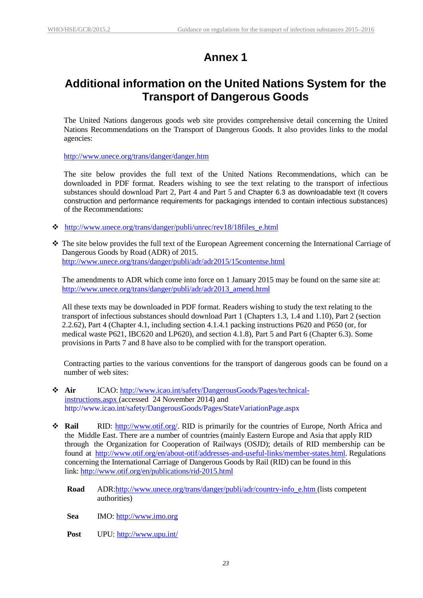# **Annex 1**

### <span id="page-26-0"></span>**Additional information on the United Nations System for the Transport of Dangerous Goods**

The United Nations dangerous goods web site provides comprehensive detail concerning the United Nations Recommendations on the Transport of Dangerous Goods. It also provides links to the modal agencies:

<http://www.unece.org/trans/danger/danger.htm>

The site below provides the full text of the United Nations Recommendations, which can be downloaded in PDF format. Readers wishing to see the text relating to the transport of infectious substances should download Part 2, Part 4 and Part 5 and Chapter 6.3 as downloadable text (It covers construction and performance requirements for packagings intended to contain infectious substances) of the Recommendations:

- [http://www.unece.org/trans/danger/publi/unrec/rev18/18files\\_e.html](http://www.unece.org/trans/danger/publi/unrec/rev18/18files_e.html)
- The site below provides the full text of the European Agreement concerning the International Carriage of Dangerous Goods by Road (ADR) of 2015. <http://www.unece.org/trans/danger/publi/adr/adr2015/15contentse.html>

The amendments to ADR which come into force on 1 January 2015 may be found on the same site at: [http://www.unece.org/trans/danger/publi/adr/adr2013\\_amend.html](http://www.unece.org/trans/danger/publi/adr/adr2013_amend.html)

All these texts may be downloaded in PDF format. Readers wishing to study the text relating to the transport of infectious substances should download Part 1 (Chapters 1.3, 1.4 and 1.10), Part 2 (section 2.2.62), Part 4 (Chapter 4.1, including section 4.1.4.1 packing instructions P620 and P650 (or, for medical waste P621, IBC620 and LP620), and section 4.1.8), Part 5 and Part 6 (Chapter 6.3). Some provisions in Parts 7 and 8 have also to be complied with for the transport operation.

Contracting parties to the various conventions for the transport of dangerous goods can be found on a number of web sites:

- **Air** ICAO: [http://www.icao.int/safety/DangerousGoods/Pages/technical](http://www.icao.int/safety/DangerousGoods/Pages/technical-instructions.aspx)[instructions.aspx](http://www.icao.int/safety/DangerousGoods/Pages/technical-instructions.aspx) (accessed 24 November 2014) and <http://www.icao.int/safety/DangerousGoods/Pages/StateVariationPage.aspx>
- **Rail** RID: [http://www.otif.org/.](http://www.otif.org/) RID is primarily for the countries of Europe, North Africa and the Middle East. There are a number of countries (mainly Eastern Europe and Asia that apply RID through the Organization for Cooperation of Railways (OSJD); details of RID membership can be found at [http://www.otif.org/en/about-otif/addresses-and-useful-links/member-states.html.](http://www.otif.org/en/about-otif/addresses-and-useful-links/member-states.html) Regulations concerning the International Carriage of Dangerous Goods by Rail (RID) can be found in this link:<http://www.otif.org/en/publications/rid-2015.html>
	- **Road** ADR[:http://www.unece.org/trans/danger/publi/adr/country-info\\_e.htm](http://www.unece.org/trans/danger/publi/adr/country-info_e.htm) (lists competent authorities)

**Sea** IMO: [http://www.imo.org](http://www.imo.org/)

**Post** UPU: <http://www.upu.int/>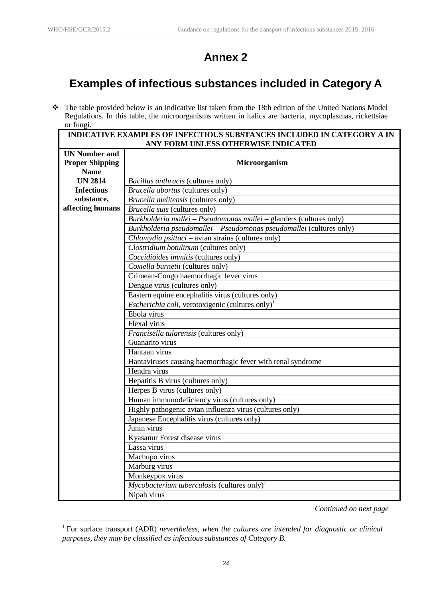# **Annex 2**

# <span id="page-27-0"></span>**Examples of infectious substances included in Category A**

 The table provided below is an indicative list taken from the 18th edition of the United Nations Model Regulations. In this table, the microorganisms written in italics are bacteria, mycoplasmas, rickettsiae or fungi.

| <b>INDICATIVE EXAMPLES OF INFECTIOUS SUBSTANCES INCLUDED IN CATEGORY A IN</b><br>ANY FORM UNLESS OTHERWISE INDICATED |                                                                      |  |  |  |  |  |  |  |  |
|----------------------------------------------------------------------------------------------------------------------|----------------------------------------------------------------------|--|--|--|--|--|--|--|--|
| <b>UN Number and</b>                                                                                                 |                                                                      |  |  |  |  |  |  |  |  |
| <b>Proper Shipping</b>                                                                                               | Microorganism                                                        |  |  |  |  |  |  |  |  |
| <b>Name</b>                                                                                                          |                                                                      |  |  |  |  |  |  |  |  |
| <b>UN 2814</b>                                                                                                       | Bacillus anthracis (cultures only)                                   |  |  |  |  |  |  |  |  |
| <b>Infectious</b>                                                                                                    | Brucella abortus (cultures only)                                     |  |  |  |  |  |  |  |  |
| substance,                                                                                                           | Brucella melitensis (cultures only)                                  |  |  |  |  |  |  |  |  |
| affecting humans                                                                                                     | Brucella suis (cultures only)                                        |  |  |  |  |  |  |  |  |
|                                                                                                                      | Burkholderia mallei - Pseudomonas mallei - glanders (cultures only)  |  |  |  |  |  |  |  |  |
|                                                                                                                      | Burkholderia pseudomallei - Pseudomonas pseudomallei (cultures only) |  |  |  |  |  |  |  |  |
|                                                                                                                      | Chlamydia psittaci - avian strains (cultures only)                   |  |  |  |  |  |  |  |  |
|                                                                                                                      | Clostridium botulinum (cultures only)                                |  |  |  |  |  |  |  |  |
|                                                                                                                      | Coccidioides immitis (cultures only)                                 |  |  |  |  |  |  |  |  |
|                                                                                                                      | Coxiella burnetii (cultures only)                                    |  |  |  |  |  |  |  |  |
|                                                                                                                      | Crimean-Congo haemorrhagic fever virus                               |  |  |  |  |  |  |  |  |
|                                                                                                                      | Dengue virus (cultures only)                                         |  |  |  |  |  |  |  |  |
|                                                                                                                      | Eastern equine encephalitis virus (cultures only)                    |  |  |  |  |  |  |  |  |
|                                                                                                                      | <i>Escherichia coli</i> , verotoxigenic (cultures only) <sup>1</sup> |  |  |  |  |  |  |  |  |
|                                                                                                                      | Ebola virus                                                          |  |  |  |  |  |  |  |  |
|                                                                                                                      | Flexal virus                                                         |  |  |  |  |  |  |  |  |
|                                                                                                                      | Francisella tularensis (cultures only)                               |  |  |  |  |  |  |  |  |
|                                                                                                                      | Guanarito virus                                                      |  |  |  |  |  |  |  |  |
|                                                                                                                      | Hantaan virus                                                        |  |  |  |  |  |  |  |  |
|                                                                                                                      | Hantaviruses causing haemorrhagic fever with renal syndrome          |  |  |  |  |  |  |  |  |
|                                                                                                                      | Hendra virus                                                         |  |  |  |  |  |  |  |  |
|                                                                                                                      | Hepatitis B virus (cultures only)                                    |  |  |  |  |  |  |  |  |
|                                                                                                                      | Herpes B virus (cultures only)                                       |  |  |  |  |  |  |  |  |
|                                                                                                                      | Human immunodeficiency virus (cultures only)                         |  |  |  |  |  |  |  |  |
|                                                                                                                      | Highly pathogenic avian influenza virus (cultures only)              |  |  |  |  |  |  |  |  |
|                                                                                                                      | Japanese Encephalitis virus (cultures only)                          |  |  |  |  |  |  |  |  |
|                                                                                                                      | Junin virus                                                          |  |  |  |  |  |  |  |  |
|                                                                                                                      | Kyasanur Forest disease virus                                        |  |  |  |  |  |  |  |  |
|                                                                                                                      | Lassa virus                                                          |  |  |  |  |  |  |  |  |
|                                                                                                                      | Machupo virus                                                        |  |  |  |  |  |  |  |  |
|                                                                                                                      | Marburg virus                                                        |  |  |  |  |  |  |  |  |
|                                                                                                                      | Monkeypox virus                                                      |  |  |  |  |  |  |  |  |
|                                                                                                                      | $Mycobacterium tuberculosis$ (cultures only) <sup>1</sup>            |  |  |  |  |  |  |  |  |
|                                                                                                                      | Nipah virus                                                          |  |  |  |  |  |  |  |  |

*Continued on next page*

*<sup>1</sup>* For surface transport (ADR) *nevertheless, when the cultures are intended for diagnostic or clinical purposes, they may be classified as infectious substances of Category B.*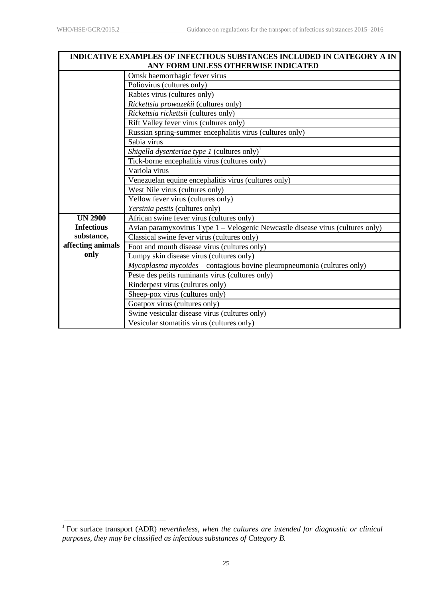| <b>INDICATIVE EXAMPLES OF INFECTIOUS SUBSTANCES INCLUDED IN CATEGORY A IN</b><br>ANY FORM UNLESS OTHERWISE INDICATED |                                                                                |  |  |  |  |  |  |  |  |  |
|----------------------------------------------------------------------------------------------------------------------|--------------------------------------------------------------------------------|--|--|--|--|--|--|--|--|--|
|                                                                                                                      | Omsk haemorrhagic fever virus                                                  |  |  |  |  |  |  |  |  |  |
|                                                                                                                      | Poliovirus (cultures only)                                                     |  |  |  |  |  |  |  |  |  |
|                                                                                                                      | Rabies virus (cultures only)                                                   |  |  |  |  |  |  |  |  |  |
|                                                                                                                      | Rickettsia prowazekii (cultures only)                                          |  |  |  |  |  |  |  |  |  |
|                                                                                                                      | Rickettsia rickettsii (cultures only)                                          |  |  |  |  |  |  |  |  |  |
|                                                                                                                      | Rift Valley fever virus (cultures only)                                        |  |  |  |  |  |  |  |  |  |
|                                                                                                                      | Russian spring-summer encephalitis virus (cultures only)                       |  |  |  |  |  |  |  |  |  |
|                                                                                                                      | Sabia virus                                                                    |  |  |  |  |  |  |  |  |  |
|                                                                                                                      | <i>Shigella dysenteriae type 1</i> (cultures only) <sup><math>1</math></sup>   |  |  |  |  |  |  |  |  |  |
|                                                                                                                      | Tick-borne encephalitis virus (cultures only)                                  |  |  |  |  |  |  |  |  |  |
|                                                                                                                      | Variola virus                                                                  |  |  |  |  |  |  |  |  |  |
|                                                                                                                      | Venezuelan equine encephalitis virus (cultures only)                           |  |  |  |  |  |  |  |  |  |
|                                                                                                                      | West Nile virus (cultures only)                                                |  |  |  |  |  |  |  |  |  |
|                                                                                                                      | Yellow fever virus (cultures only)                                             |  |  |  |  |  |  |  |  |  |
|                                                                                                                      | Yersinia pestis (cultures only)                                                |  |  |  |  |  |  |  |  |  |
| <b>UN 2900</b>                                                                                                       | African swine fever virus (cultures only)                                      |  |  |  |  |  |  |  |  |  |
| <b>Infectious</b>                                                                                                    | Avian paramyxovirus Type 1 - Velogenic Newcastle disease virus (cultures only) |  |  |  |  |  |  |  |  |  |
| substance,                                                                                                           | Classical swine fever virus (cultures only)                                    |  |  |  |  |  |  |  |  |  |
| affecting animals                                                                                                    | Foot and mouth disease virus (cultures only)                                   |  |  |  |  |  |  |  |  |  |
| only                                                                                                                 | Lumpy skin disease virus (cultures only)                                       |  |  |  |  |  |  |  |  |  |
|                                                                                                                      | Mycoplasma mycoides - contagious bovine pleuropneumonia (cultures only)        |  |  |  |  |  |  |  |  |  |
|                                                                                                                      | Peste des petits ruminants virus (cultures only)                               |  |  |  |  |  |  |  |  |  |
|                                                                                                                      | Rinderpest virus (cultures only)                                               |  |  |  |  |  |  |  |  |  |
|                                                                                                                      | Sheep-pox virus (cultures only)                                                |  |  |  |  |  |  |  |  |  |
|                                                                                                                      | Goatpox virus (cultures only)                                                  |  |  |  |  |  |  |  |  |  |
|                                                                                                                      | Swine vesicular disease virus (cultures only)                                  |  |  |  |  |  |  |  |  |  |
|                                                                                                                      | Vesicular stomatitis virus (cultures only)                                     |  |  |  |  |  |  |  |  |  |

*<sup>1</sup>* For surface transport (ADR) *nevertheless, when the cultures are intended for diagnostic or clinical purposes, they may be classified as infectious substances of Category B.*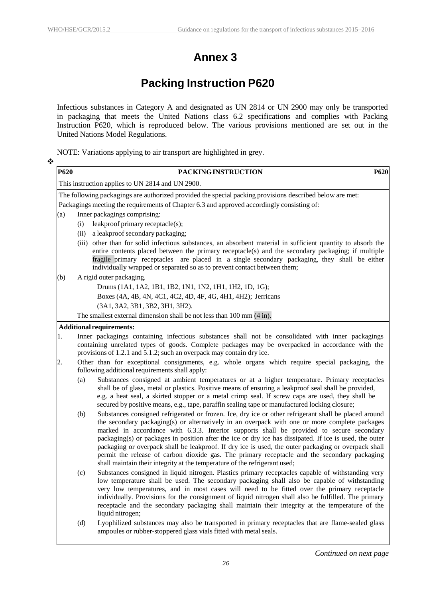$\frac{1}{2}$ 

# **Annex 3**

# **Packing Instruction P620**

<span id="page-29-0"></span>Infectious substances in Category A and designated as UN 2814 or UN 2900 may only be transported in packaging that meets the United Nations class 6.2 specifications and complies with Packing Instruction P620, which is reproduced below. The various provisions mentioned are set out in the United Nations Model Regulations.

NOTE: Variations applying to air transport are highlighted in grey.

| <b>P620</b> | PACKING INSTRUCTION                                                                                                                                                                                                                                                                                                                                                                                                                                                                                                                                                                                                                                                                                       | P620 |
|-------------|-----------------------------------------------------------------------------------------------------------------------------------------------------------------------------------------------------------------------------------------------------------------------------------------------------------------------------------------------------------------------------------------------------------------------------------------------------------------------------------------------------------------------------------------------------------------------------------------------------------------------------------------------------------------------------------------------------------|------|
|             | This instruction applies to UN 2814 and UN 2900.                                                                                                                                                                                                                                                                                                                                                                                                                                                                                                                                                                                                                                                          |      |
|             | The following packagings are authorized provided the special packing provisions described below are met:                                                                                                                                                                                                                                                                                                                                                                                                                                                                                                                                                                                                  |      |
|             | Packagings meeting the requirements of Chapter 6.3 and approved accordingly consisting of:                                                                                                                                                                                                                                                                                                                                                                                                                                                                                                                                                                                                                |      |
| (a)         | Inner packagings comprising:                                                                                                                                                                                                                                                                                                                                                                                                                                                                                                                                                                                                                                                                              |      |
|             | leakproof primary receptacle(s);<br>(i)                                                                                                                                                                                                                                                                                                                                                                                                                                                                                                                                                                                                                                                                   |      |
|             | (ii)<br>a leakproof secondary packaging;                                                                                                                                                                                                                                                                                                                                                                                                                                                                                                                                                                                                                                                                  |      |
|             | other than for solid infectious substances, an absorbent material in sufficient quantity to absorb the<br>(iii)<br>entire contents placed between the primary receptacle(s) and the secondary packaging; if multiple<br>fragile primary receptacles are placed in a single secondary packaging, they shall be either<br>individually wrapped or separated so as to prevent contact between them;                                                                                                                                                                                                                                                                                                          |      |
| (b)         | A rigid outer packaging.                                                                                                                                                                                                                                                                                                                                                                                                                                                                                                                                                                                                                                                                                  |      |
|             | Drums (1A1, 1A2, 1B1, 1B2, 1N1, 1N2, 1H1, 1H2, 1D, 1G);                                                                                                                                                                                                                                                                                                                                                                                                                                                                                                                                                                                                                                                   |      |
|             | Boxes (4A, 4B, 4N, 4C1, 4C2, 4D, 4F, 4G, 4H1, 4H2); Jerricans                                                                                                                                                                                                                                                                                                                                                                                                                                                                                                                                                                                                                                             |      |
|             | (3A1, 3A2, 3B1, 3B2, 3H1, 3H2).                                                                                                                                                                                                                                                                                                                                                                                                                                                                                                                                                                                                                                                                           |      |
|             | The smallest external dimension shall be not less than 100 mm (4 in).                                                                                                                                                                                                                                                                                                                                                                                                                                                                                                                                                                                                                                     |      |
|             | <b>Additional requirements:</b>                                                                                                                                                                                                                                                                                                                                                                                                                                                                                                                                                                                                                                                                           |      |
| 1.          | Inner packagings containing infectious substances shall not be consolidated with inner packagings<br>containing unrelated types of goods. Complete packages may be overpacked in accordance with the<br>provisions of 1.2.1 and 5.1.2; such an overpack may contain dry ice.                                                                                                                                                                                                                                                                                                                                                                                                                              |      |
| 2.          | Other than for exceptional consignments, e.g. whole organs which require special packaging, the<br>following additional requirements shall apply:                                                                                                                                                                                                                                                                                                                                                                                                                                                                                                                                                         |      |
|             | Substances consigned at ambient temperatures or at a higher temperature. Primary receptacles<br>(a)<br>shall be of glass, metal or plastics. Positive means of ensuring a leakproof seal shall be provided,<br>e.g. a heat seal, a skirted stopper or a metal crimp seal. If screw caps are used, they shall be<br>secured by positive means, e.g., tape, paraffin sealing tape or manufactured locking closure;                                                                                                                                                                                                                                                                                          |      |
|             | Substances consigned refrigerated or frozen. Ice, dry ice or other refrigerant shall be placed around<br>(b)<br>the secondary packaging(s) or alternatively in an overpack with one or more complete packages<br>marked in accordance with 6.3.3. Interior supports shall be provided to secure secondary<br>packaging(s) or packages in position after the ice or dry ice has dissipated. If ice is used, the outer<br>packaging or overpack shall be leakproof. If dry ice is used, the outer packaging or overpack shall<br>permit the release of carbon dioxide gas. The primary receptacle and the secondary packaging<br>shall maintain their integrity at the temperature of the refrigerant used; |      |
|             | Substances consigned in liquid nitrogen. Plastics primary receptacles capable of withstanding very<br>(c)<br>low temperature shall be used. The secondary packaging shall also be capable of withstanding<br>very low temperatures, and in most cases will need to be fitted over the primary receptacle<br>individually. Provisions for the consignment of liquid nitrogen shall also be fulfilled. The primary<br>receptacle and the secondary packaging shall maintain their integrity at the temperature of the<br>liquid nitrogen;                                                                                                                                                                   |      |
|             | (d)<br>Lyophilized substances may also be transported in primary receptacles that are flame-sealed glass<br>ampoules or rubber-stoppered glass vials fitted with metal seals.                                                                                                                                                                                                                                                                                                                                                                                                                                                                                                                             |      |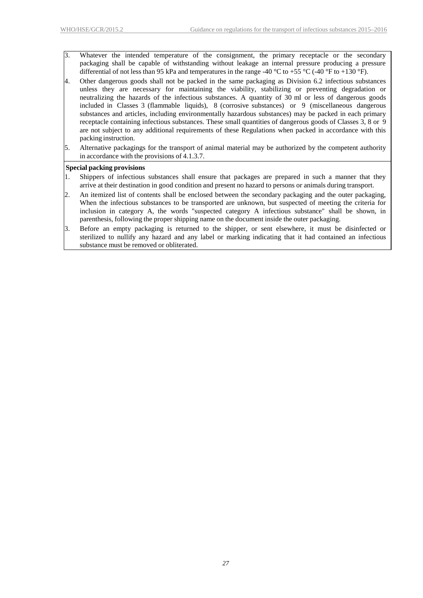3. Whatever the intended temperature of the consignment, the primary receptacle or the secondary packaging shall be capable of withstanding without leakage an internal pressure producing a pressure differential of not less than 95 kPa and temperatures in the range -40 °C to +55 °C (-40 °F to +130 °F).

- 4. Other dangerous goods shall not be packed in the same packaging as Division 6.2 infectious substances unless they are necessary for maintaining the viability, stabilizing or preventing degradation or neutralizing the hazards of the infectious substances. A quantity of 30 ml or less of dangerous goods included in Classes 3 (flammable liquids), 8 (corrosive substances) or 9 (miscellaneous dangerous substances and articles, including environmentally hazardous substances) may be packed in each primary receptacle containing infectious substances. These small quantities of dangerous goods of Classes 3, 8 or 9 are not subject to any additional requirements of these Regulations when packed in accordance with this packing instruction.
- 5. Alternative packagings for the transport of animal material may be authorized by the competent authority in accordance with the provisions of 4.1.3.7.

#### **Special packing provisions**

- 1. Shippers of infectious substances shall ensure that packages are prepared in such a manner that they arrive at their destination in good condition and present no hazard to persons or animals during transport.
- 2. An itemized list of contents shall be enclosed between the secondary packaging and the outer packaging, When the infectious substances to be transported are unknown, but suspected of meeting the criteria for inclusion in category A, the words "suspected category A infectious substance" shall be shown, in parenthesis, following the proper shipping name on the document inside the outer packaging.
- 3. Before an empty packaging is returned to the shipper, or sent elsewhere, it must be disinfected or sterilized to nullify any hazard and any label or marking indicating that it had contained an infectious substance must be removed or obliterated.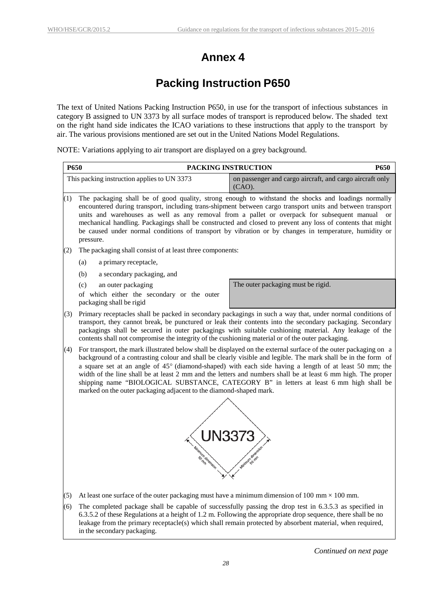# **Annex 4**

# **Packing Instruction P650**

<span id="page-31-0"></span>The text of United Nations Packing Instruction P650, in use for the transport of infectious substances in category B assigned to UN 3373 by all surface modes of transport is reproduced below. The shaded text on the right hand side indicates the ICAO variations to these instructions that apply to the transport by air. The various provisions mentioned are set out in the United Nations Model Regulations.

NOTE: Variations applying to air transport are displayed on a grey background.

| P650 |                                                                                                                                                                                                                                                                                                                                                                                                                                                                                                                                                                                                                              | PACKING INSTRUCTION<br>P650                                                                             |  |  |  |  |  |  |  |  |
|------|------------------------------------------------------------------------------------------------------------------------------------------------------------------------------------------------------------------------------------------------------------------------------------------------------------------------------------------------------------------------------------------------------------------------------------------------------------------------------------------------------------------------------------------------------------------------------------------------------------------------------|---------------------------------------------------------------------------------------------------------|--|--|--|--|--|--|--|--|
|      | This packing instruction applies to UN 3373                                                                                                                                                                                                                                                                                                                                                                                                                                                                                                                                                                                  | on passenger and cargo aircraft, and cargo aircraft only<br>$(CAO)$ .                                   |  |  |  |  |  |  |  |  |
| (1)  | The packaging shall be of good quality, strong enough to withstand the shocks and loadings normally<br>encountered during transport, including trans-shipment between cargo transport units and between transport<br>units and warehouses as well as any removal from a pallet or overpack for subsequent manual or<br>mechanical handling. Packagings shall be constructed and closed to prevent any loss of contents that might<br>be caused under normal conditions of transport by vibration or by changes in temperature, humidity or<br>pressure.                                                                      |                                                                                                         |  |  |  |  |  |  |  |  |
| (2)  | The packaging shall consist of at least three components:                                                                                                                                                                                                                                                                                                                                                                                                                                                                                                                                                                    |                                                                                                         |  |  |  |  |  |  |  |  |
|      | a primary receptacle,<br>(a)                                                                                                                                                                                                                                                                                                                                                                                                                                                                                                                                                                                                 |                                                                                                         |  |  |  |  |  |  |  |  |
|      | (b)<br>a secondary packaging, and                                                                                                                                                                                                                                                                                                                                                                                                                                                                                                                                                                                            |                                                                                                         |  |  |  |  |  |  |  |  |
|      | (c)<br>an outer packaging                                                                                                                                                                                                                                                                                                                                                                                                                                                                                                                                                                                                    | The outer packaging must be rigid.                                                                      |  |  |  |  |  |  |  |  |
|      | of which either the secondary or the outer<br>packaging shall be rigid                                                                                                                                                                                                                                                                                                                                                                                                                                                                                                                                                       |                                                                                                         |  |  |  |  |  |  |  |  |
| (3)  | Primary receptacles shall be packed in secondary packagings in such a way that, under normal conditions of<br>transport, they cannot break, be punctured or leak their contents into the secondary packaging. Secondary<br>packagings shall be secured in outer packagings with suitable cushioning material. Any leakage of the<br>contents shall not compromise the integrity of the cushioning material or of the outer packaging.                                                                                                                                                                                        |                                                                                                         |  |  |  |  |  |  |  |  |
| (4)  | For transport, the mark illustrated below shall be displayed on the external surface of the outer packaging on a<br>background of a contrasting colour and shall be clearly visible and legible. The mark shall be in the form of<br>a square set at an angle of 45° (diamond-shaped) with each side having a length of at least 50 mm; the<br>width of the line shall be at least 2 mm and the letters and numbers shall be at least 6 mm high. The proper<br>shipping name "BIOLOGICAL SUBSTANCE, CATEGORY B" in letters at least 6 mm high shall be<br>marked on the outer packaging adjacent to the diamond-shaped mark. |                                                                                                         |  |  |  |  |  |  |  |  |
|      |                                                                                                                                                                                                                                                                                                                                                                                                                                                                                                                                                                                                                              |                                                                                                         |  |  |  |  |  |  |  |  |
|      | UN3373                                                                                                                                                                                                                                                                                                                                                                                                                                                                                                                                                                                                                       |                                                                                                         |  |  |  |  |  |  |  |  |
|      | Imum dimension                                                                                                                                                                                                                                                                                                                                                                                                                                                                                                                                                                                                               |                                                                                                         |  |  |  |  |  |  |  |  |
| (5)  | At least one surface of the outer packaging must have a minimum dimension of 100 mm $\times$ 100 mm.                                                                                                                                                                                                                                                                                                                                                                                                                                                                                                                         |                                                                                                         |  |  |  |  |  |  |  |  |
| (6)  | $\zeta \wedge \zeta \wedge \zeta$ of those Descriptions at a belief of $\zeta \wedge \zeta$ in Estherma the componies due a company them shall be a                                                                                                                                                                                                                                                                                                                                                                                                                                                                          | The completed package shall be capable of successfully passing the drop test in 6.3.5.3 as specified in |  |  |  |  |  |  |  |  |

6.3.5.2 of these Regulations at a height of 1.2 m. Following the appropriate drop sequence, there shall be no leakage from the primary receptacle(s) which shall remain protected by absorbent material, when required, in the secondary packaging.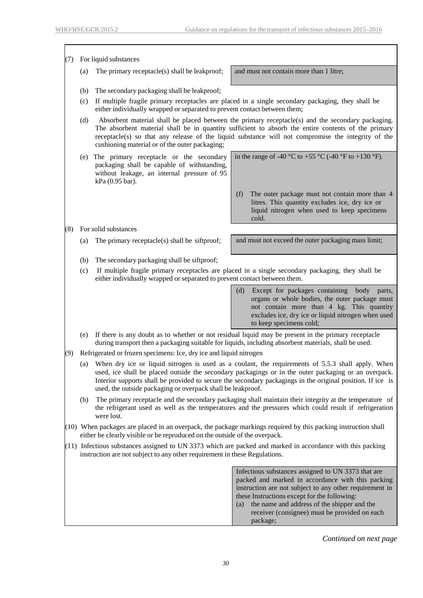$\overline{\phantom{a}}$ 

| (7) | For liquid substances                                                                                                                                                                                                                                                                                                                                                                         |                                                                                                                                                                                |                                                                                                                                                                                                                  |  |  |  |  |  |  |  |  |  |
|-----|-----------------------------------------------------------------------------------------------------------------------------------------------------------------------------------------------------------------------------------------------------------------------------------------------------------------------------------------------------------------------------------------------|--------------------------------------------------------------------------------------------------------------------------------------------------------------------------------|------------------------------------------------------------------------------------------------------------------------------------------------------------------------------------------------------------------|--|--|--|--|--|--|--|--|--|
|     | (a)                                                                                                                                                                                                                                                                                                                                                                                           | The primary receptacle(s) shall be leakproof;                                                                                                                                  | and must not contain more than 1 litre;                                                                                                                                                                          |  |  |  |  |  |  |  |  |  |
|     | (b)                                                                                                                                                                                                                                                                                                                                                                                           | The secondary packaging shall be leakproof;                                                                                                                                    |                                                                                                                                                                                                                  |  |  |  |  |  |  |  |  |  |
|     | (c)                                                                                                                                                                                                                                                                                                                                                                                           | If multiple fragile primary receptacles are placed in a single secondary packaging, they shall be<br>either individually wrapped or separated to prevent contact between them; |                                                                                                                                                                                                                  |  |  |  |  |  |  |  |  |  |
|     | Absorbent material shall be placed between the primary receptacle(s) and the secondary packaging.<br>(d)<br>The absorbent material shall be in quantity sufficient to absorb the entire contents of the primary<br>receptacle(s) so that any release of the liquid substance will not compromise the integrity of the<br>cushioning material or of the outer packaging;                       |                                                                                                                                                                                |                                                                                                                                                                                                                  |  |  |  |  |  |  |  |  |  |
|     | (e)                                                                                                                                                                                                                                                                                                                                                                                           | The primary receptacle or the secondary<br>packaging shall be capable of withstanding,<br>without leakage, an internal pressure of 95<br>kPa (0.95 bar).                       | in the range of -40 °C to +55 °C (-40 °F to +130 °F).                                                                                                                                                            |  |  |  |  |  |  |  |  |  |
|     |                                                                                                                                                                                                                                                                                                                                                                                               |                                                                                                                                                                                | (f)<br>The outer package must not contain more than 4<br>litres. This quantity excludes ice, dry ice or<br>liquid nitrogen when used to keep specimens<br>cold.                                                  |  |  |  |  |  |  |  |  |  |
| (8) |                                                                                                                                                                                                                                                                                                                                                                                               | For solid substances                                                                                                                                                           |                                                                                                                                                                                                                  |  |  |  |  |  |  |  |  |  |
|     | (a)                                                                                                                                                                                                                                                                                                                                                                                           | The primary receptacle(s) shall be siftproof;                                                                                                                                  | and must not exceed the outer packaging mass limit;                                                                                                                                                              |  |  |  |  |  |  |  |  |  |
|     | (b)                                                                                                                                                                                                                                                                                                                                                                                           | The secondary packaging shall be siftproof;                                                                                                                                    |                                                                                                                                                                                                                  |  |  |  |  |  |  |  |  |  |
|     | If multiple fragile primary receptacles are placed in a single secondary packaging, they shall be<br>(c)<br>either individually wrapped or separated to prevent contact between them.                                                                                                                                                                                                         |                                                                                                                                                                                |                                                                                                                                                                                                                  |  |  |  |  |  |  |  |  |  |
|     | Except for packages containing body parts,<br>(d)<br>organs or whole bodies, the outer package must<br>not contain more than 4 kg. This quantity<br>excludes ice, dry ice or liquid nitrogen when used<br>to keep specimens cold;                                                                                                                                                             |                                                                                                                                                                                |                                                                                                                                                                                                                  |  |  |  |  |  |  |  |  |  |
|     |                                                                                                                                                                                                                                                                                                                                                                                               |                                                                                                                                                                                | (e) If there is any doubt as to whether or not residual liquid may be present in the primary receptacle<br>during transport then a packaging suitable for liquids, including absorbent materials, shall be used. |  |  |  |  |  |  |  |  |  |
| (9) |                                                                                                                                                                                                                                                                                                                                                                                               | Refrigerated or frozen specimens: Ice, dry ice and liquid nitrogen                                                                                                             |                                                                                                                                                                                                                  |  |  |  |  |  |  |  |  |  |
|     | When dry ice or liquid nitrogen is used as a coolant, the requirements of 5.5.3 shall apply. When<br>(a)<br>used, ice shall be placed outside the secondary packagings or in the outer packaging or an overpack.<br>Interior supports shall be provided to secure the secondary packagings in the original position. If ice is<br>used, the outside packaging or overpack shall be leakproof. |                                                                                                                                                                                |                                                                                                                                                                                                                  |  |  |  |  |  |  |  |  |  |
|     | The primary receptacle and the secondary packaging shall maintain their integrity at the temperature of<br>(b)<br>the refrigerant used as well as the temperatures and the pressures which could result if refrigeration<br>were lost.                                                                                                                                                        |                                                                                                                                                                                |                                                                                                                                                                                                                  |  |  |  |  |  |  |  |  |  |
|     |                                                                                                                                                                                                                                                                                                                                                                                               | either be clearly visible or be reproduced on the outside of the overpack.                                                                                                     | $(10)$ When packages are placed in an overpack, the package markings required by this packing instruction shall                                                                                                  |  |  |  |  |  |  |  |  |  |
|     | $(11)$ Infectious substances assigned to UN 3373 which are packed and marked in accordance with this packing<br>instruction are not subject to any other requirement in these Regulations.                                                                                                                                                                                                    |                                                                                                                                                                                |                                                                                                                                                                                                                  |  |  |  |  |  |  |  |  |  |
|     | Infectious substances assigned to UN 3373 that are<br>packed and marked in accordance with this packing<br>instruction are not subject to any other requirement in<br>these Instructions except for the following:<br>the name and address of the shipper and the<br>(a)<br>receiver (consignee) must be provided on each<br>package;                                                         |                                                                                                                                                                                |                                                                                                                                                                                                                  |  |  |  |  |  |  |  |  |  |

*Continued on next page*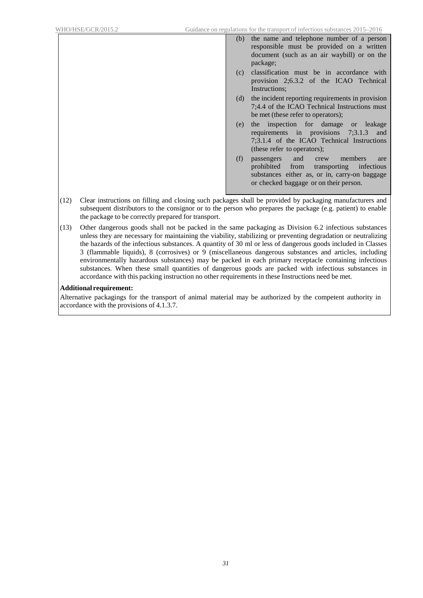- (b) the name and telephone number of a person responsible must be provided on a written document (such as an air waybill) or on the package;
- (c) classification must be in accordance with provision 2;6.3.2 of the ICAO Technical Instructions;
- (d) the incident reporting requirements in provision 7;4.4 of the ICAO Technical Instructions must be met (these refer to operators);
- (e) the inspection for damage or leakage requirements in provisions 7;3.1.3 and 7;3.1.4 of the ICAO Technical Instructions (these refer to operators);
- (f) passengers and crew members are<br>prohibited from transporting infectious from transporting infectious substances either as, or in, carry-on baggage or checked baggage or on their person.
- (12) Clear instructions on filling and closing such packages shall be provided by packaging manufacturers and subsequent distributors to the consignor or to the person who prepares the package (e.g. patient) to enable the package to be correctly prepared for transport.
- (13) Other dangerous goods shall not be packed in the same packaging as Division 6.2 infectious substances unless they are necessary for maintaining the viability, stabilizing or preventing degradation or neutralizing the hazards of the infectious substances. A quantity of 30 ml or less of dangerous goods included in Classes 3 (flammable liquids), 8 (corrosives) or 9 (miscellaneous dangerous substances and articles, including environmentally hazardous substances) may be packed in each primary receptacle containing infectious substances. When these small quantities of dangerous goods are packed with infectious substances in accordance with this packing instruction no other requirements in these Instructions need be met.

#### **Additional requirement:**

Alternative packagings for the transport of animal material may be authorized by the competent authority in accordance with the provisions of 4.1.3.7.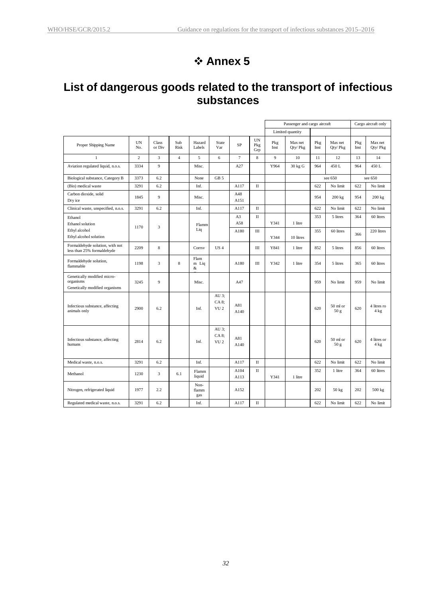# **Annex 5**

# <span id="page-34-0"></span>**List of dangerous goods related to the transport of infectious substances**

|                                                                            |                  |                 |                |                      |                                   |                |                  | Passenger and cargo aircraft |                     |             | Cargo aircraft only           |             |                               |
|----------------------------------------------------------------------------|------------------|-----------------|----------------|----------------------|-----------------------------------|----------------|------------------|------------------------------|---------------------|-------------|-------------------------------|-------------|-------------------------------|
|                                                                            |                  |                 |                |                      |                                   |                |                  |                              | Limited quantity    |             |                               |             |                               |
| Proper Shipping Name                                                       | <b>UN</b><br>No. | Class<br>or Div | Sub<br>Risk    | Hazard<br>Labels     | State<br>Var                      | <b>SP</b>      | UN<br>Pkg<br>Grp | Pkg<br>Inst                  | Max net<br>Qty/ Pkg | Pkg<br>Inst | Max net<br>Qty/Pkg            | Pkg<br>Inst | Max net<br>Qty/Pkg            |
| $\mathbf{1}$                                                               | $\overline{c}$   | 3               | $\overline{4}$ | 5                    | 6                                 | $\overline{7}$ | 8                | 9                            | 10                  | 11          | 12                            | 13          | 14                            |
| Aviation regulated liquid, n.o.s.                                          | 3334             | 9               |                | Misc.                |                                   | A27            |                  | Y964                         | 30 kg G             | 964         | 450L                          | 964         | 450 L                         |
| Biological substance, Category B                                           | 3373             | 6.2             |                | None                 | GB <sub>5</sub>                   |                |                  |                              |                     |             | see 650                       |             | see 650                       |
| (Bio) medical waste                                                        | 3291             | 6.2             |                | Inf.                 |                                   | A117           | $\rm II$         |                              |                     | 622         | No limit                      | 622         | No limit                      |
| Carbon dioxide, solid<br>Dry ice                                           | 1845             | 9               |                | Misc.                |                                   | A48<br>A151    |                  |                              |                     | 954         | 200 kg                        | 954         | 200 kg                        |
| Clinical waste, unspecified, n.o.s.                                        | 3291             | 6.2             |                | Inf.                 |                                   | A117           | $\mathbf{I}$     |                              |                     | 622         | No limit                      | 622         | No limit                      |
| Ethanol                                                                    |                  |                 |                |                      |                                   | A3<br>A58      | $\rm II$         | Y341                         | 1 litre             | 353         | 5 litres                      | 364         | 60 litres                     |
| Ethanol solution<br>Ethyl alcohol                                          | 1170             | 3               |                | Flamm<br>Liq         |                                   | A180           | III              |                              |                     | 355         | 60 litres                     |             | 220 litres                    |
| Ethyl alcohol solution                                                     |                  |                 |                |                      |                                   |                |                  | Y344                         | 10 litres           |             |                               | 366         |                               |
| Formaldehyde solution, with not<br>less than 25% formaldehyde              | 2209             | 8               |                | Corrsv               | US <sub>4</sub>                   |                | III              | Y841                         | 1 litre             | 852         | 5 litres                      | 856         | 60 litres                     |
| Formaldehyde solution,<br>flammable                                        | 1198             | 3               | 8              | Flam<br>m Liq<br>&   |                                   | A180           | Ш                | Y342                         | 1 litre             | 354         | 5 litres                      | 365         | 60 litres                     |
| Genetically modified micro-<br>organisms<br>Genetically modified organisms | 3245             | 9               |                | Misc.                |                                   | A47            |                  |                              |                     | 959         | No limit                      | 959         | No limit                      |
| Infectious substance, affecting<br>animals only                            | 2900             | 6.2             |                | Inf.                 | AU 3:<br>CA 8:<br>VU <sub>2</sub> | A81<br>A140    |                  |                              |                     | 620         | $50$ ml or<br>50 <sub>g</sub> | 620         | 4 litres ro<br>$4 \text{ kg}$ |
| Infectious substance, affecting<br>humans                                  | 2814             | 6.2             |                | Inf.                 | AU 3;<br>CA 8:<br>VU <sub>2</sub> | A81<br>A140    |                  |                              |                     | 620         | 50 ml or<br>50 g              | 620         | 4 litres or<br>4 kg           |
| Medical waste, n.o.s.                                                      | 3291             | 6.2             |                | Inf.                 |                                   | A117           | $\mathbf{I}$     |                              |                     | 622         | No limit                      | 622         | No limit                      |
| Methanol                                                                   | 1230             | 3               | 6.1            | Flamm<br>liquid      |                                   | A104<br>A113   | $\mathbf{I}$     | Y341                         | 1 litre             | 352         | 1 litre                       | 364         | 60 litres                     |
| Nitrogen, refrigerated liquid                                              | 1977             | 2.2             |                | Non-<br>flamm<br>gas |                                   | A152           |                  |                              |                     | 202         | 50 kg                         | 202         | 500 kg                        |
| Regulated medical waste, n.o.s.                                            | 3291             | 6.2             |                | Inf.                 |                                   | A117           | $\mathbf{I}$     |                              |                     | 622         | No limit                      | 622         | No limit                      |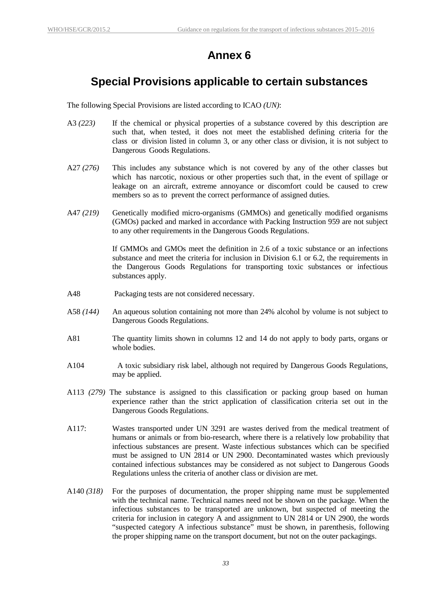### **Annex 6**

### <span id="page-35-0"></span>**Special Provisions applicable to certain substances**

The following Special Provisions are listed according to ICAO *(UN)*:

- A3 *(223)* If the chemical or physical properties of a substance covered by this description are such that, when tested, it does not meet the established defining criteria for the class or division listed in column 3, or any other class or division, it is not subject to Dangerous Goods Regulations.
- A27 *(276)* This includes any substance which is not covered by any of the other classes but which has narcotic, noxious or other properties such that, in the event of spillage or leakage on an aircraft, extreme annoyance or discomfort could be caused to crew members so as to prevent the correct performance of assigned duties.
- A47 *(219)* Genetically modified micro-organisms (GMMOs) and genetically modified organisms (GMOs) packed and marked in accordance with Packing Instruction 959 are not subject to any other requirements in the Dangerous Goods Regulations.

If GMMOs and GMOs meet the definition in 2.6 of a toxic substance or an infections substance and meet the criteria for inclusion in Division 6.1 or 6.2, the requirements in the Dangerous Goods Regulations for transporting toxic substances or infectious substances apply.

- A48 Packaging tests are not considered necessary.
- A58 *(144)* An aqueous solution containing not more than 24% alcohol by volume is not subject to Dangerous Goods Regulations.
- A81 The quantity limits shown in columns 12 and 14 do not apply to body parts, organs or whole bodies.
- A104 A toxic subsidiary risk label, although not required by Dangerous Goods Regulations, may be applied.
- A113 *(279)* The substance is assigned to this classification or packing group based on human experience rather than the strict application of classification criteria set out in the Dangerous Goods Regulations.
- A117: Wastes transported under UN 3291 are wastes derived from the medical treatment of humans or animals or from bio-research, where there is a relatively low probability that infectious substances are present. Waste infectious substances which can be specified must be assigned to UN 2814 or UN 2900. Decontaminated wastes which previously contained infectious substances may be considered as not subject to Dangerous Goods Regulations unless the criteria of another class or division are met.
- A140 *(318)* For the purposes of documentation, the proper shipping name must be supplemented with the technical name. Technical names need not be shown on the package. When the infectious substances to be transported are unknown, but suspected of meeting the criteria for inclusion in category A and assignment to UN 2814 or UN 2900, the words "suspected category A infectious substance" must be shown, in parenthesis, following the proper shipping name on the transport document, but not on the outer packagings.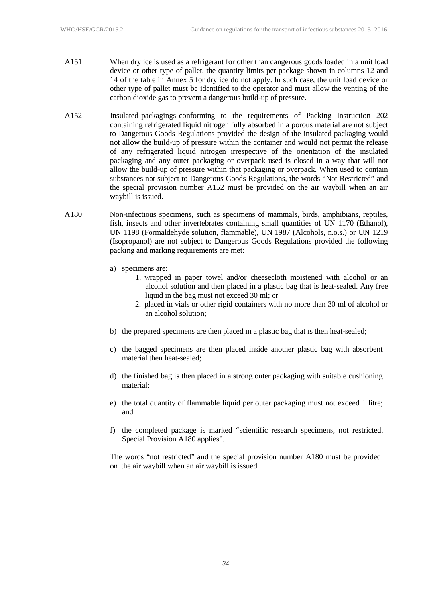- A151 When dry ice is used as a refrigerant for other than dangerous goods loaded in a unit load device or other type of pallet, the quantity limits per package shown in columns 12 and 14 of the table in Annex 5 for dry ice do not apply. In such case, the unit load device or other type of pallet must be identified to the operator and must allow the venting of the carbon dioxide gas to prevent a dangerous build-up of pressure.
- A152 Insulated packagings conforming to the requirements of Packing Instruction 202 containing refrigerated liquid nitrogen fully absorbed in a porous material are not subject to Dangerous Goods Regulations provided the design of the insulated packaging would not allow the build-up of pressure within the container and would not permit the release of any refrigerated liquid nitrogen irrespective of the orientation of the insulated packaging and any outer packaging or overpack used is closed in a way that will not allow the build-up of pressure within that packaging or overpack. When used to contain substances not subject to Dangerous Goods Regulations, the words "Not Restricted" and the special provision number A152 must be provided on the air waybill when an air waybill is issued.
- A180 Non-infectious specimens, such as specimens of mammals, birds, amphibians, reptiles, fish, insects and other invertebrates containing small quantities of UN 1170 (Ethanol), UN 1198 (Formaldehyde solution, flammable), UN 1987 (Alcohols, n.o.s.) or UN 1219 (Isopropanol) are not subject to Dangerous Goods Regulations provided the following packing and marking requirements are met:
	- a) specimens are:
		- 1. wrapped in paper towel and/or cheesecloth moistened with alcohol or an alcohol solution and then placed in a plastic bag that is heat-sealed. Any free liquid in the bag must not exceed 30 ml; or
		- 2. placed in vials or other rigid containers with no more than 30 ml of alcohol or an alcohol solution;
	- b) the prepared specimens are then placed in a plastic bag that is then heat-sealed;
	- c) the bagged specimens are then placed inside another plastic bag with absorbent material then heat-sealed;
	- d) the finished bag is then placed in a strong outer packaging with suitable cushioning material;
	- e) the total quantity of flammable liquid per outer packaging must not exceed 1 litre; and
	- f) the completed package is marked "scientific research specimens, not restricted. Special Provision A180 applies".

The words "not restricted" and the special provision number A180 must be provided on the air waybill when an air waybill is issued.